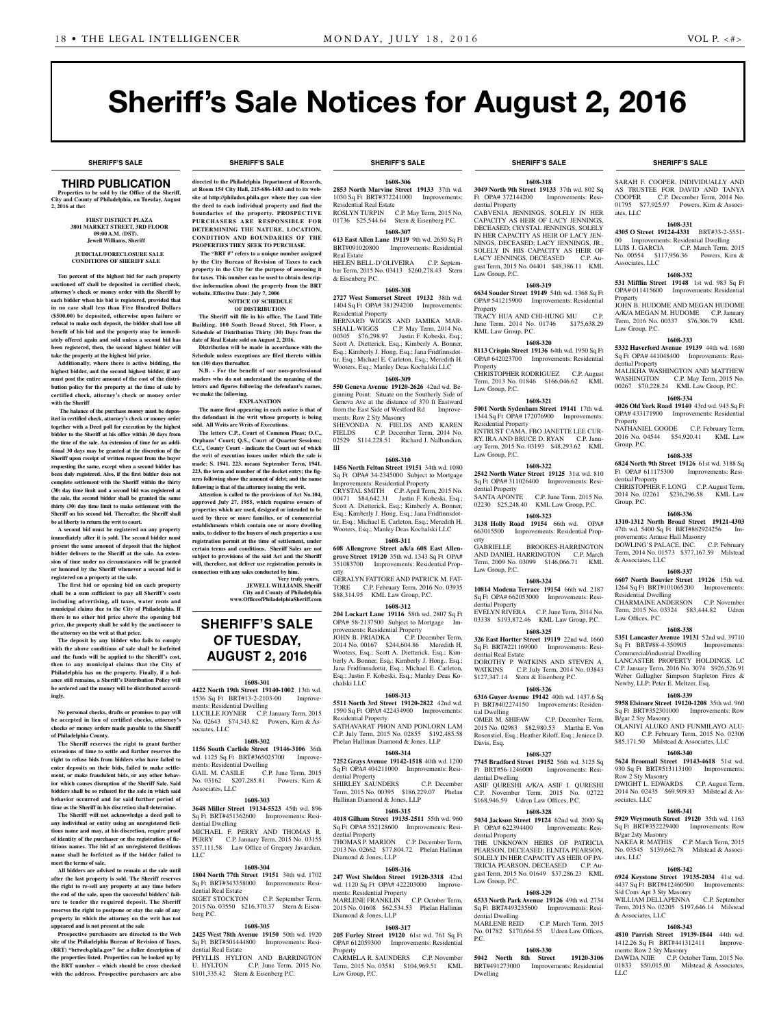**SHERIFF'S SALE SHERIFF'S SALE SHERIFF'S SALE SHERIFF'S SALE SHERIFF'S SALE**

# Sheriff's Sale Notices for August 2, 2016

# THIRD PUBLICATION

**Properties to be sold by the Office of the Sheriff, City and County of Philadelphia, on Tuesday, August 2, 2016 at the:** 

> **First District Plaza 3801 Market Street, 3rd Floor 09:00 A.M. (dST). Jewell Williams, Sheriff**

### **JUDICIAL/FORECLOSURE SALE CONDITIONS OF SHERIFF SALE**

**Ten percent of the highest bid for each property auctioned off shall be deposited in certified check, attorney's check or money order with the Sheriff by each bidder when his bid is registered, provided that in no case shall less than Five Hundred Dollars (\$500.00) be deposited, otherwise upon failure or refusal to make such deposit, the bidder shall lose all benefit of his bid and the property may be immediately offered again and sold unless a second bid has been registered, then, the second highest bidder will take the property at the highest bid price.**

**Additionally, where there is active bidding, the highest bidder, and the second highest bidder, if any must post the entire amount of the cost of the distribution policy for the property at the time of sale by certified check, attorney's check or money order with the Sheriff**

 **The balance of the purchase money must be deposited in certified check, attorney's check or money order together with a Deed poll for execution by the highest bidder to the Sheriff at his office within 30 days from the time of the sale. An extension of time for an additional 30 days may be granted at the discretion of the Sheriff upon receipt of written request from the buyer requesting the same, except when a second bidder has been duly registered. Also, if the first bidder does not complete settlement with the Sheriff within the thirty (30) day time limit and a second bid was registered at the sale, the second bidder shall be granted the same thirty (30) day time limit to make settlement with the Sheriff on his second bid. Thereafter, the Sheriff shall be at liberty to return the writ to court.**

**A second bid must be registered on any property immediately after it is sold. The second bidder must present the same amount of deposit that the highest bidder delivers to the Sheriff at the sale. An extension of time under no circumstances will be granted or honored by the Sheriff whenever a second bid is registered on a property at the sale.** 

**The first bid or opening bid on each property shall be a sum sufficient to pay all Sheriff's costs including advertising, all taxes, water rents and municipal claims due to the City of Philadelphia. If there is no other bid price above the opening bid price, the property shall be sold by the auctioneer to the attorney on the writ at that price.**

**The deposit by any bidder who fails to comply with the above conditions of sale shall be forfeited and the funds will be applied to the Sheriff's cost, then to any municipal claims that the City of Philadelphia has on the property. Finally, if a balance still remains, a Sheriff's Distribution Policy will be ordered and the money will be distributed accordingly.**

**No personal checks, drafts or promises to pay will be accepted in lieu of certified checks, attorney's checks or money orders made payable to the Sheriff of Philadelphia County.**

**The Sheriff reserves the right to grant further extensions of time to settle and further reserves the right to refuse bids from bidders who have failed to enter deposits on their bids, failed to make settlement, or make fraudulent bids, or any other behavior which causes disruption of the Sheriff Sale. Said bidders shall be so refused for the sale in which said behavior occurred and for said further period of time as the Sheriff in his discretion shall determine.**

**The Sheriff will not acknowledge a deed poll to any individual or entity using an unregistered fictitious name and may, at his discretion, require proof of identity of the purchaser or the registration of fictitious names. The bid of an unregistered fictitious name shall be forfeited as if the bidder failed to meet the terms of sale.**

**All bidders are advised to remain at the sale until after the last property is sold. The Sheriff reserves the right to re-sell any property at any time before the end of the sale, upon the successful bidders' failure to tender the required deposit. The Sheriff reserves the right to postpone or stay the sale of any property in which the attorney on the writ has not appeared and is not present at the sale**

**Prospective purchasers are directed to the Web site of the Philadelphia Bureau of Revision of Taxes, (BRT) "brtweb.phila.gov" for a fuller description of the properties listed. Properties can be looked up by the BRT number – which should be cross checked with the address. Prospective purchasers are also** 

**directed to the Philadelphia Department of Records, at Room 154 City Hall, 215-686-1483 and to its website at http://philadox.phila.gov where they can view the deed to each individual property and find the boundaries of the property. PROSPECTIVE PURCHASERS ARE RESPONSIBLE FOR DETERMINING THE NATURE, LOCATION, CONDITION AND BOUNDARIES OF THE PROPERTIES THEY SEEK TO PURCHASE. The "BRT #" refers to a unique number assigned by the City Bureau of Revision of Taxes to each property in the City for the purpose of assessing it for taxes. This number can be used to obtain descriptive information about the property from the BRT** 

**website. Effective Date: July 7, 2006**

**ten (10) days thereafter.**

**we make the following.**

**NOTICE OF SCHEDULE OF DISTRIBUTION The Sheriff will file in his office, The Land Title Building, 100 South Broad Street, 5th Floor, a Schedule of Distribution Thirty (30) Days from the date of Real Estate sold on August 2, 2016. Distribution will be made in accordance with the Schedule unless exceptions are filed thereto within** 

**N.B.** - For the benefit of our non-profession **readers who do not understand the meaning of the letters and figures following the defendant's names,** 

**EXPLANATION The name first appearing in each notice is that of the defendant in the writ whose property is being** 

**The letters C.P., Court of Common Pleas; O.C., Orphans' Court; Q.S., Court of Quarter Sessions; C.C., County Court - indicate the Court out of which the writ of execution issues under which the sale is made: S. 1941. 223. means September Term, 1941. 223, the term and number of the docket entry; the figures following show the amount of debt; and the name following is that of the attorney issuing the writ. Attention is called to the provisions of Act No.104, approved July 27, 1955, which requires owners of properties which are used, designed or intended to be used by three or more families, or of commercial establishments which contain one or more dwelling units, to deliver to the buyers of such properties a use registration permit at the time of settlement, under certain terms and conditions. Sheriff Sales are not subject to provisions of the said Act and the Sheriff will, therefore, not deliver use registration permits in connection with any sales conducted by him.**

**SHERIFF'S SALE OF TUESDAY, August 2, 2016**

**1608-301 4422 North 19th Street 19140-1002** 13th wd. 1536 Sq Ft BRT#13-2-2103-00 Improve-

LUCILLE JOYNER C.P. January Term, 2015 No. 02643 \$74,343.82 Powers, Kirn & As-

**1608-302 1156 South Carlisle Street 19146-3106** 36th wd. 1125 Sq Ft BRT#365025700 Improve-

GAIL M. CASILE C.P. June Term, 2015 No. 03162 \$207,285.81 Powers, Kirn &

**1608-303 3648 Miller Street 19134-5523** 45th wd. 896 Sq Ft BRT#451362600 Improvements: Resi-

MICHAEL F. PERRY AND THOMAS R. PERRY C.P. January Term, 2015 No. 03155 \$57,111.58 Law Office of Gregory Javardian,

**1608-304 1804 North 77th Street 19151** 34th wd. 1702 Sq Ft BRT#343358000 Improvements: Resi-

2015 No. 03550 \$216,370.37 Stern & Eisen-

**1608-305 2425 West 78th Avenue 19150** 50th wd. 1920 Sq Ft BRT#501444800 Improvements: Resi-

PHYLLIS HYLTON AND BARRINGTON<br>U. HYLTON C.P. June Term. 2015 No.

\$101,335.42 Stern & Eisenberg P.C.

C.P. September Term,

C.P. June Term, 2015 No.

ments: Residential Dwelling

ments: Residential Dwelling

sociates, LLC

Associates, LLC

dential Dwelling

dential Real Estate<br>SIGET STOCKTON

dential Real Estate

LLC

berg P.C.

**Very truly yours, JEWELL WILLIAMS, Sheriff City and County of Philadelphia www.OfficeofPhiladelphiaSheriff.com**

**sold. All Writs are Writs of Executions.**

**1608-306 2853 North Marvine Street 19133** 37th wd. 1030 Sq Ft BRT#372241000 Improvements: Residential Real Estate ROSLYN TURPIN C.P. May Term, 2015 No.

01736 \$25,544.64 Stern & Eisenberg P.C. **1608-307**

**613 East Allen Lane 19119** 9th wd. 2650 Sq Ft BRT#091020800 Improvements: Residential Real Estate

HELEN BELL-D'OLIVEIRA C.P. September Term, 2015 No. 03413 \$260,278.43 Stern & Eisenberg P.C.

# **1608-308**

**2727 West Somerset Street 19132** 38th wd. 1404 Sq Ft OPA# 381294200 Improvements: Residential Property BERNARD WIGGS AND JAMIKA MAR-SHALL-WIGGS C.P. May Term, 2014 No. 00305 \$76,298.97 Justin F. Kobeski, Esq.; Scott A. Dietterick, Esq.; Kimberly A. Bonner, Esq.; Kimberly J. Hong, Esq.; Jana Fridfinnsdottir, Esq.; Michael E. Carleton, Esq.; Meredith H. Wooters, Esq.; Manley Deas Kochalski LLC

### **1608-309**

**550 Geneva Avenue 19120-2626** 42nd wd. Beginning Point: Situate on the Southerly Side of Geneva Ave at the distance of 370 ft Eastward from the East Side of Westford Rd Improvements: Row 2 Sty Masonry

SHEVONDA N. FIELDS AND KAREN<br>FIELDS C.P. December Term, 2014 No. C.P. December Term, 2014 No. 02529 \$114,228.51 Richard J. Nalbandian, III

### **1608-310**

**1456 North Felton Street 19151** 34th wd. 1080 Sq Ft OPA# 34-2345000 Subject to Mortgage Improvements: Residential Property CRYSTAL SMITH C.P. April Term, 2015 No. 00471 \$84,642.31 Justin F. Kobeski, Esq.; Scott A. Dietterick, Esq.; Kimberly A. Bonner, Esq.; Kimberly J. Hong, Esq.; Jana Fridfinnsdottir, Esq.; Michael E. Carleton, Esq.; Meredith H. Wooters, Esq.; Manley Deas Kochalski LLC

### **1608-311**

**608 Allengrove Street a/k/a 608 East Allengrove Street 19120** 35th wd. 1343 Sq Ft OPA# 351083700 Improvements: Residential Property

GERALYN FATTORE AND PATRICK M. FAT-TORE C.P. February Term, 2016 No. 03935 \$88,314.95 KML Law Group, P.C.

### **1608-312**

**204 Lockart Lane 19116** 58th wd. 2807 Sq Ft OPA# 58-2137500 Subject to Mortgage Improvements: Residential Property JOHN B. PRIADKA C.P. December Term, 2014 No. 00167 \$244,604.86 Meredith H. Wooters, Esq.; Scott A. Dietterick, Esq.; Kim-

berly A. Bonner, Esq.; Kimberly J. Hong., Esq.; Jana Fridfinnsdottir, Esq.; Michael E. Carleton, Esq.; Justin F. Kobeski, Esq.; Manley Deas Kochalski LLC

### **1608-313**

**5511 North 3rd Street 19120-2822** 42nd wd. 1590 Sq Ft OPA# 422434900 Improvements: Residential Property SATHAVARAT PHON AND PONLORN LAM C.P. July Term, 2015 No. 02855 \$192,485.58 Phelan Hallinan Diamond & Jones, LLP

### **1608-314**

**7252 Grays Avenue 19142-1518** 40th wd. 1200 Sq Ft OPA# 404211000 Improvements: Residential Property SHIRLEY SAUNDERS C.P. December Term, 2015 No. 00395 \$186,229.07 Phelan Hallinan Diamond & Jones, LLP

# **1608-315**

**4018 Gilham Street 19135-2511** 55th wd. 960 Sq Ft OPA# 552128600 Improvements: Residential Property THOMAS P. MARION C.P. December Term, 2013 No. 02662 \$77,804.72 Phelan Hallinan

### Diamond & Jones, LLP **1608-316**

**247 West Sheldon Street 19120-3318** 42nd wd. 1120 Sq Ft OPA# 422203000 Improvements: Residential Property MARLENE FRANKLIN C.P. October Term,

2015 No. 01608 \$62,534.53 Phelan Hallinan Diamond & Jones, LLP **1608-317**

**205 Furley Street 19120** 61st wd. 761 Sq Ft OPA# 612059300 Improvements: Residential **Property** 

CARMELA R. SAUNDERS C.P. November Term, 2015 No. 03581 \$104,969.51 KML Law Group, P.C.

**1608-318 3049 North 9th Street 19133** 37th wd. 802 Sq Ft OPA# 372144200 Improvements: Residential Property

CABVENIA JENNINGS, SOLELY IN HER CAPACITY AS HEIR OF LACY JENNINGS, DECEASED; CRYSTAL JENNINGS, SOLELY IN HER CAPACITY AS HEIR OF LACY JEN-NINGS, DECEASED; LACY JENNINGS, JR., SOLELY IN HIS CAPACITY AS HEIR OF LACY JENNINGS, DECEASED C.P. August Term, 2015 No. 04401 \$48,386.11 KML Law Group, P.C.

# **1608-319**

**6634 Souder Street 19149** 54th wd. 1368 Sq Ft OPA# 541215900 Improvements: Residential Property

TRACY HUA AND CHI-HUNG MU June Term, 2014 No. 01746 \$175,638.29 KML Law Group, P.C.

### **1608-320**

**8113 Crispin Street 19136** 64th wd. 1950 Sq Ft OPA# 642023700 Improvements: Residential Property CHRISTOPHER RODRIGUEZ C.P. August Term, 2013 No. 01846 \$166,046.62 KML Law Group, P.C.

### **1608-321**

**5001 North Sydenham Street 19141** 17th wd. 1344 Sq Ft OPA# 172076900 Improvements: Residential Property ENTRUST CAMA, FBO JANETTE LEE CUR-RY, IRA AND BRUCE D. RYAN C.P. January Term, 2015 No. 03193 \$48,293.62 KML Law Group, P.C.

### **1608-322**

**2542 North Water Street 19125** 31st wd. 810 Sq Ft OPA# 311026400 Improvements: Residential Property<br>SANTA APONTE C.P. June Term, 2015 No. 02230 \$25,248.40 KML Law Group, P.C.

# **1608-323**

**3138 Holly Road 19154** 66th wd. OPA# 663015500 Improvements: Residential Property<br>GARRIELLE BROOKES-HARRINGTON AND DANIEL HARRINGTON C.P. March Term, 2009 No. 03099 \$146,066.71 KML Law Group, P.C.

# **1608-324**

**10814 Modena Terrace 19154** 66th wd. 2187 Sq Ft OPA# 662053000 Improvements: Residential Property EVELYN RIVERA C.P. June Term, 2014 No.

03338 \$193,872.46 KML Law Group, P.C. **1608-325**

### **326 East Hortter Street 19119** 22nd wd. 1660 Sq Ft BRT#221169000 Improvements: Resi-

dential Real Estate DOROTHY P. WATKINS AND STEVEN A. WATKINS C.P. July Term, 2014 No. 03843 \$127,347.14 Stern & Eisenberg P.C.

### **1608-326**

**6316 Guyer Avenue 19142** 40th wd. 1437.6 Sq Ft BRT#402274150 Improvements: Residential Dwelling OMER M. SHIFAW C.P. December Term, 2015 No. 02983 \$82,980.53 Martha E. Von Rosenstiel, Esq.; Heather Riloff, Esq.; Jeniece D. Davis, Esq.

### **1608-327**

**7745 Bradford Street 19152** 56th wd. 3125 Sq Ft BRT#56-1246000 Improvements: Residential Dwelling ASIF QURESHI A/K/A ASIF I. QURESHI C.P. November Term, 2015 No. 02722 \$168,946.59 Udren Law Offices, P.C. **1608-328**

### **5034 Jackson Street 19124** 62nd wd. 2000 Sq

Ft OPA# 622394400 Improvements: Residential Property THE UNKNOWN HEIRS OF PATRICIA PEARSON, DECEASED; ELNITA PEARSON, SOLELY IN HER CAPACITY AS HEIR OF PA-TRICIA PEARSON, DECEASED C.P. August Term, 2015 No. 01649 \$37,286.23 KML Law Group, P.C.

### **1608-329**

**6533 North Park Avenue 19126** 49th wd. 2734 Sq Ft BRT#493235600 Improvements: Residential Dwelling<br>MARLENE REID

C.P. March Term, 2015 No. 01782 \$170,664.55 Udren Law Offices, P.C.

# **1608-330**

**5042 North 8th Street 19120-3106**  BRT#491273000 Improvements: Residential Dwelling

### **SHERIFF'S SALE SHERIFF'S SALE SHERIFF'S SALE SHERIFF'S SALE SHERIFF'S SALE**

SARAH F. COOPER, INDIVIDUALLY AND AS TRUSTEE FOR DAVID AND TANYA<br>COOPER C.P. December Term, 2014 No. C.P. December Term, 2014 No. 01795 \$77,925.97 Powers, Kirn & Associ ates, LLC

### **1608-331 4305 O Street 19124-4331** BRT#33-2-5551-

00 Improvements: Residential Dwelling LUIS J. GARCIA C.P. March Term, 2015 No. 00554 \$117,956.36 Powers, Kirn & Associates, LLC

### **1608-332**

**531 Mifflin Street 19148** 1st wd. 983 Sq Ft OPA# 011415600 Improvements: Residential Property JOHN B. HUDOME AND MEGAN HUDOME A/K/A MEGAN M. HUDOME C.P. January

Term, 2016 No. 00337 \$76,306.79 KML Law Group, P.C.

# **1608-333**

**5332 Haverford Avenue 19139** 44th wd. 1680 Sq Ft OPA# 441048400 Improvements: Residential Property MALIKHA WASHINGTON AND MATTHEW WASHINGTON C.P. May Term, 2015 No. 00267 \$70,228.24 KML Law Group, P.C.

### **1608-334**

**4026 Old York Road 19140** 43rd wd. 943 Sq Ft OPA# 433171900 Improvements: Residential Property

NATHANIEL GOODE C.P. February Term, 2016 No. 04544 \$54,920.41 KML Law Group, P.C.

### **1608-335**

**6824 North 9th Street 19126** 61st wd. 3188 Sq Ft OPA# 611175300 Improvements: Residential Property

CHRISTOPHER F. LONG C.P. August Term, 2014 No. 02261 \$236,296.58 KML Law Group, P.C.

# **1608-336**

**1310-1312 North Broad Street 19121-4303**  47th wd. 5400 Sq Ft BRT#882924256 Improvements: Amuse Hall Masonry<br>DOWLING'S PALACE, INC. C.P. February DOWLING'S PALACE, INC. Term, 2014 No. 01573 \$377,167.59 Milstead & Associates, LLC

### **1608-337**

Commercial/industrial Dwelling

Law Offices, P.C.

B/gar 2 Sty Masonry

Row 2 Sty Masonry

B/gar 2sty Masonry

& Associates, LLC

S/d Conv Apt 3 Sty Masonry

ments: Row 2 Sty Masonry

sociates, LLC

ates, LLC

LLC

**6607 North Bouvier Street 19126** 15th wd. 1264 Sq Ft BRT#101065200 Improvements: Residential Dwelling CHARMAINE ANDERSON C.P. November

Term, 2015 No. 03324 \$83,444.82 Udren

**1608-338 5351 Lancaster Avenue 19131** 52nd wd. 39710 Sq Ft BRT#88-4-350905 Improvements:

LANCASTER PROPERTY HOLDINGS, LC C.P. January Term, 2016 No. 3074 \$926,526.91 Weber Gallagher Simpson Stapleton Fires & Newby, LLP; Peter E. Meltzer, Esq.

**1608-339 5958 Elsinore Street 19120-1208** 35th wd. 960 Sq Ft BRT#352301000 Improvements: Row

OLANIYI ALUKO AND FUNMILAYO ALU-KO C.P. February Term, 2015 No. 02306 \$85,171.50 Milstead & Associates, LLC **1608-340 5624 Broomall Street 19143-4618** 51st wd. 930 Sq Ft BRT#513113100 Improvements:

DWIGHT L. EDWARDS C.P. August Term, 2014 No. 02435 \$69,909.83 Milstead & As-

**1608-341 5929 Weymouth Street 19120** 35th wd. 1163 Sq Ft BRT#352229400 Improvements: Row

NAKEA R. MATHIS C.P. March Term, 2015 No. 03545 \$139,662.78 Milstead & Associ-

**1608-342 6924 Keystone Street 19135-2034** 41st wd. 4437 Sq Ft BRT#412460500 Improvements:

WILLIAM DELLAPENNA C.P. September Term, 2015 No. 02205 \$197,646.14 Milstead

**1608-343 4810 Parrish Street 19139-1844** 44th wd. 1412.26 Sq Ft BRT#441312411 Improve-

DAWDA NJIE C.P. October Term, 2015 No. 01833 \$50,015.00 Milstead & Associates,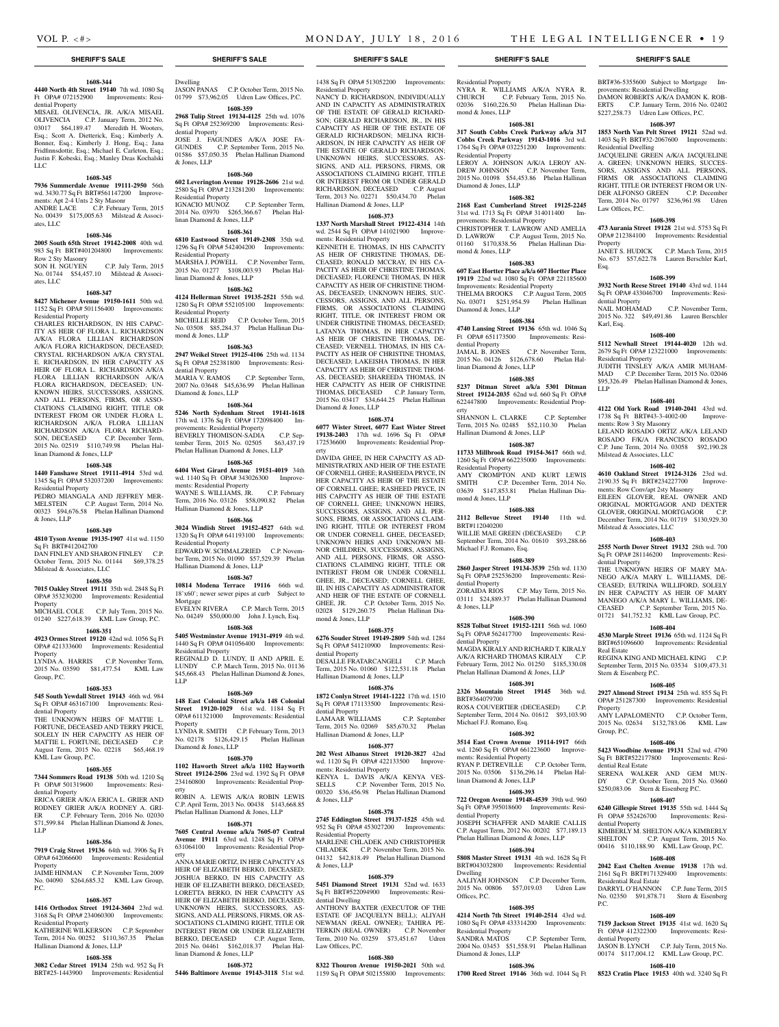BRT#36-5355600 Subject to Mortgage Im-

DAMON ROBERTS A/K/A DAMON K. ROB-ERTS C.P. January Term, 2016 No. 02402 \$227,258.73 Udren Law Offices, P.C. **1608-397 1853 North Van Pelt Street 19121** 52nd wd. 1403 Sq Ft BRT#32-2067600 Improvements:

JACQUELINE GREEN A/K/A JACQUELINE A. GREEN; UNKNOWN HEIRS, SUCCES-SORS, ASSIGNS AND ALL PERSONS, FIRMS OR ASSOCIATIONS CLAIMING RIGHT, TITLE OR INTEREST FROM OR UN-DER ALFONSO GREEN C.P. December Term, 2014 No. 01797 \$236,961.98 Udren

**1608-398 473 Aurania Street 19128** 21st wd. 5753 Sq Ft OPA# 212384100 Improvements: Residential

JANET S. HUDICK C.P. March Term, 2015 No. 673 \$57,622.78 Lauren Berschler Karl,

**1608-399 3932 North Reese Street 19140** 43rd wd. 1144 Sq Ft OPA# 433046700 Improvements: Resi-

2015 No. 322 \$49,491.86 Lauren Berschler

**1608-400 5112 Newhall Street 19144-4020** 12th wd. 2679 Sq Ft OPA# 123221000 Improvements:

JUDITH TINSLEY A/K/A AMIR MUHAM-MAD C.P. December Term, 2015 No. 02046 \$95,326.49 Phelan Hallinan Diamond & Jones,

**1608-401 4122 Old York Road 19140-2041** 43rd wd. 1738 Sq Ft BRT#43-3-4002-00 Improve-

LELAND ROSADO ORTIZ A/K/A LELAND ROSADO F/K/A FRANCISCO ROSADO C.P. June Term, 2014 No. 03058 \$92,190.28

**1608-402 4610 Oakland Street 19124-3126** 23rd wd. 2190.35 Sq Ft BRT#234227700 Improvements: Row Conv/apt 2sty Masonry

EILEEN GLOVER, REAL OWNER AND ORIGINAL MORTGAGOR AND DEXTER GLOVER, ORIGINAL MORTGAGOR C.P. December Term, 2014 No. 01719 \$130,929.30

**1608-403 2555 North Dover Street 19132** 28th wd. 700 Sq Ft OPA# 281146200 Improvements: Resi-

THE UNKNOWN HEIRS OF MARY MA-NEGO A/K/A MARY L. WILLIAMS, DE-CEASED; EUTRINA WILLIFORD, SOLELY IN HER CAPACITY AS HEIR OF MARY MANEGO A/K/A MARY L. WILLIAMS, DE-CEASED C.P. September Term, 2015 No. 01721 \$41,752.32 KML Law Group, P.C. **1608-404 4530 Marple Street 19136** 65th wd. 1124 Sq Ft BRT#651096600 Improvements: Residential

REGINA KING AND MICHAEL KING C.P. September Term, 2015 No. 03534 \$109,473.31

**1608-405 2927 Almond Street 19134** 25th wd. 855 Sq Ft OPA# 251287300 Improvements: Residential

AMY LAPALOMENTO C.P. October Term, 2015 No. 02634 \$132,783.06 KML Law

**1608-406 5423 Woodbine Avenue 19131** 52nd wd. 4790 Sq Ft BRT#522177800 Improvements: Resi-

SERENA WALKER AND GEM MUN-DY C.P. October Term, 2015 No. 03660 \$250,083.06 Stern & Eisenberg P.C. **1608-407 6240 Gillespie Street 19135** 55th wd. 1444 Sq

KIMBERLY M. SHELTON A/K/A KIMBERLY SHELTON C.P. August Term, 2015 No. 00416 \$110,188.90 KML Law Group, P.C. **1608-408 2042 East Chelten Avenue 19138** 17th wd. 2161 Sq Ft BRT#171329400 Improvements:

DARRYL O'HANNON C.P. June Term, 2015 No. 02350 \$91,878.71 Stern & Eisenberg

**1608-409 7159 Jackson Street 19135** 41st wd. 1620 Sq Ft OPA# 412322300 Improvements: Resi-

JASON B. LYNCH C.P. July Term, 2015 No. 00174 \$117,004.12 KML Law Group, P.C. **1608-410 8523 Cratin Place 19153** 40th wd. 3240 Sq Ft

Improvements: Resi-

C.P. November Term,

provements: Residential Dwelling

Residential Dwelling

Law Offices, P.C.

dential Property<br>NAIL MOHAMAD

Residential Property

ments: Row 3 Sty Masonry

Milstead & Associates, LLC

Milstead & Associates, LLC

dential Property

Real Estate

Property

Group, P.C.

dential Real Estate

dential Property

Residential Real Estate

dential Property

P.C.

Stern & Eisenberg P.C.

Property

Karl, Esq.

LLP

Esq.

### **1608-344 4440 North 4th Street 19140** 7th wd. 1080 Sq

Ft OPA# 072152900 Improvements: Residential Property MISAEL OLIVENCIA, JR. A/K/A MISAEL

OLIVENCIA C.P. January Term, 2012 No. 03017 \$64,189.47 Meredith H. Wooters, Esq.; Scott A. Dietterick, Esq.; Kimberly A. Bonner, Esq.; Kimberly J. Hong, Esq.; Jana Fridfinnsdottir, Esq.; Michael E. Carleton, Esq.; Justin F. Kobeski, Esq.; Manley Deas Kochalski LLC

### **1608-345**

**7936 Summerdale Avenue 19111-2950** 56th wd. 3430.77 Sq Ft BRT#561147200 Improvements: Apt 2-4 Unts 2 Sty Masonr ANDRE LACE C.P. February Term, 2015 No. 00439 \$175,005.63 Milstead & Associates, LLC

# **1608-346**

**2005 South 65th Street 19142-2008** 40th wd. 983 Sq Ft BRT#401204800 Improvements:

Row 2 Sty Masonry<br>SON H. NGUYEN C.P. July Term, 2015 No. 01744 \$54,457.10 Milstead & Associates, LLC

### **1608-347**

**8427 Michener Avenue 19150-1611** 50th wd. 1152 Sq Ft OPA# 501156400 Improvements: Residential Property

CHARLES RICHARDSON, IN HIS CAPAC-ITY AS HEIR OF FLORA L. RICHARDSON A/K/A FLORA LILLIAN RICHARDSON A/K/A FLORA RICHARDSON, DECEASED; CRYSTAL RICHARDSON A/K/A CRYSTAL E. RICHARDSON, IN HER CAPACITY AS HEIR OF FLORA L. RICHARDSON A/K/A FLORA LILLIAN RICHARDSON A/K/A FLORA RICHARDSON, DECEASED; UN-KNOWN HEIRS, SUCCESSORS, ASSIGNS, AND ALL PERSONS, FIRMS, OR ASSO-CIATIONS CLAIMING RIGHT, TITLE OR INTEREST FROM OR UNDER FLORA L. RICHARDSON A/K/A FLORA LILLIAN RICHARDSON A/K/A FLORA RICHARD-SON, DECEASED C.P. December Term, 2015 No. 02519 \$110,749.98 Phelan Hallinan Diamond & Jones, LLP

### **1608-348**

### **1440 Fanshawe Street 19111-4914** 53rd wd. 1345 Sq Ft OPA# 532037200 Improvements:

Residential Property PEDRO MIANGALA AND JEFFREY MER-MELSTEIN C.P. August Term, 2014 No. 00323 \$94,676.58 Phelan Hallinan Diamond & Jones, LLP

### **1608-349**

**4810 Tyson Avenue 19135-1907** 41st wd. 1150 Sq Ft BRT#412042700

DAN FINLEY AND SHARON FINLEY C.P. October Term, 2015 No. 01144 \$69,378.25 Milstead & Associates, LLC

### **1608-350**

**7015 Oakley Street 19111** 35th wd. 2848 Sq Ft OPA# 353230200 Improvements: Residential Property MICHAEL COLE C.P. July Term, 2015 No.

01240 \$227,618.39 KML Law Group, P.C. **1608-351**

# **4923 Ormes Street 19120** 42nd wd. 1056 Sq Ft

OPA# 421333600 Improvements: Residential Property

LYNDA A. HARRIS C.P. November Term, 2015 No. 03590 \$81,477.54 KML Law Group, P.C.

# **1608-353**

**545 South Yewdall Street 19143** 46th wd. 984 Sq Ft OPA# 463167100 Improvements: Residential Property

THE UNKNOWN HEIRS OF MATTIE L. FORTUNE, DECEASED AND TERRY PRICE, SOLELY IN HER CAPACITY AS HEIR OF MATTIE L. FORTUNE. DECEASED C.P. MATTIE L. FORTUNE, DECEASED August Term, 2015 No. 02218 \$65,468.19 KML Law Group, P.C.

# **1608-355**

LLP

**7344 Sommers Road 19138** 50th wd. 1210 Sq Ft OPA# 501319600 Improvements: Residential Property ERICA GRIER A/K/A ERICA L. GRIER AND RODNEY GRIER A/K/A RODNEY A. GRI-ER C.P. February Term, 2016 No. 02030 \$71,599.84 Phelan Hallinan Diamond & Jones,

# **1608-356**

### **7919 Craig Street 19136** 64th wd. 3906 Sq Ft OPA# 642066600 Improvements: Residential Property

JAIME HINMAN C.P. November Term, 2009 No. 04090 \$264,685.32 KML Law Group, P.C.

### **1608-357**

**1416 Orthodox Street 19124-3604** 23rd wd. 3168 Sq Ft OPA# 234060300 Improvements: Residential Property

### KATHERINE WILKERSON C.P. September Term, 2014 No. 00252 \$110,367.35 Phelan Hallinan Diamond & Jones, LLP

**1608-358**

**3082 Cedar Street 19134** 25th wd. 952 Sq Ft BRT#25-1443900 Improvements: Residential Dwelling JASON PANAS C.P. October Term, 2015 No. 01799 \$73,962.05 Udren Law Offices, P.C.

# **1608-359**

**2968 Tulip Street 19134-4125** 25th wd. 1076 Sq Ft OPA# 252369200 Improvements: Residential Property JOSE J. FAGUNDES A/K/A JOSE FA-GUNDES C.P. September Term, 2015 No. 01586 \$57,050.35 Phelan Hallinan Diamond & Jones, LLP

# **1608-360**

**602 Leverington Avenue 19128-2606** 21st wd. 2580 Sq Ft OPA# 213281200 Improvements: Residential Property IGNACIO MUNOZ C.P. September Term,

### 2014 No. 03970 \$265,366.67 Phelan Hallinan Diamond & Jones, LLP

# **1608-361**

**6810 Eastwood Street 19149-2308** 35th wd. 1296 Sq Ft OPA# 542404200 Improvements: Residential Property MARSHA J. POWELL C.P. November Term, 2015 No. 01277 \$108,003.93 Phelan Hallinan Diamond & Jones, LLP

### **1608-362**

**4124 Hellerman Street 19135-2521** 55th wd. 1280 Sq Ft OPA# 552105100 Improvements:

Residential Property MICHELLE REID C.P. October Term, 2015 No. 03508 \$85,284.37 Phelan Hallinan Diamond & Jones, LLP

### **1608-363**

**2947 Weikel Street 19125-4106** 25th wd. 1134 Sq Ft OPA# 252381800 Improvements: Residential Property MARIA V. RAMOS C.P. September Term

2007 No. 03648 \$45,636.99 Phelan Hallinan Diamond & Jones, LLP

### **1608-364**

**5246 North Sydenham Street 19141-1618**  17th wd. 1376 Sq Ft OPA# 172098400 Improvements: Residential Property BEVERLY THOMISON-SADIA C.P. Sep-<br>tember Term, 2015 No. 02505 \$63,437.19 tember Term, 2015 No. 02505 Phelan Hallinan Diamond & Jones, LLP

### **1608-365**

**6404 West Girard Avenue 19151-4019** 34th wd. 1140 Sq Ft OPA# 343026300 Improvements: Residential Property WAYNE S. WILLIAMS, JR. C.P. February Term, 2016 No. 03126 \$58,090.82 Phelan Hallinan Diamond & Jones, LLP

### **1608-366**

**3024 Windish Street 19152-4527** 64th wd. 1320 Sq Ft OPA# 641193100 Improvements: Residential Property EDWARD W. SCHMALZRIED C.P. Novem-

ber Term, 2015 No. 01090 \$57,529.39 Phelan Hallinan Diamond & Jones, LLP

# **1608-367**

**10814 Modena Terrace 19116** 66th wd. 18'x60'; newer sewer pipes at curb Subject to Mortgage EVELYN RIVERA C.P. March Term, 2015

No. 04249 \$50,000.00 John J. Lynch, Esq. **1608-368**

### **5405 Westminster Avenue 19131-4919** 4th wd. 1440 Sq Ft OPA# 041056400 Improvements: Residential Property REGINALD D. LUNDY, II AND APRIL E.

LUNDY C.P. March Term, 2015 No. 01136 \$45,668.43 Phelan Hallinan Diamond & Jones, LLP

# **1608-369**

**148 East Colonial Street a/k/a 148 Colonial Street 19120-1029** 61st wd. 1184 Sq Ft OPA# 611321000 Improvements: Residential Property LYNDA R. SMITH C.P. February Term, 2013 No. 02178 \$126,429.15 Phelan Hallinan Diamond & Jones, LLP

# **1608-370**

**1102 Haworth Street a/k/a 1102 Hayworth Street 19124-2506** 23rd wd. 1392 Sq Ft OPA# 234160800 Improvements: Residential Prop-Improvements: Residential Property

ROBIN A. LEWIS A/K/A ROBIN LEWIS C.P. April Term, 2013 No. 00438 \$143,668.85 Phelan Hallinan Diamond & Jones, LLP

# **1608-371**

**7605 Central Avenue a/k/a 7605-07 Central Avenue 19111** 63rd wd. 1248 Sq Ft OPA# 631064100 Improvements: Residential Property

ANNA MARIE ORTIZ, IN HER CAPACITY AS HEIR OF ELIZABETH BERKO, DECEASED; JOSHUA BERKO, IN HIS CAPACITY AS HEIR OF ELIZABETH BERKO, DECEASED; LORETTA BERKO, IN HER CAPACITY AS HEIR OF ELIZABETH BERKO, DECEASED; UNKNOWN HEIRS, SUCCESSORS, AS-SIGNS, AND ALL PERSONS, FIRMS, OR AS-SOCIATIONS CLAIMING RIGHT, TITLE OR INTEREST FROM OR UNDER ELIZABETH BERKO, DECEASED C.P. August Term, 2015 No. 04461 \$162,018.37 Phelan Hallinan Diamond & Jones, LLP

# **1608-372**

**5446 Baltimore Avenue 19143-3118** 51st wd.

**SHERIFF'S SALE SHERIFF'S SALE SHERIFF'S SALE SHERIFF'S SALE SHERIFF'S SALE**

### 1438 Sq Ft OPA# 513052200 Improvements: Residential Property

NANCY D. RICHARDSON, INDIVIDUALLY AND IN CAPACITY AS ADMINISTRATRIX OF THE ESTATE OF GERALD RICHARD-SON; GERALD RICHARDSON, JR., IN HIS CAPACITY AS HEIR OF THE ESTATE OF GERALD RICHARDSON; MELINA RICH-ARDSON, IN HER CAPACITY AS HEIR OF THE ESTATE OF GERALD RICHARDSON; UNKNOWN HEIRS, SUCCESSORS, AS-SIGNS, AND ALL PERSONS, FIRMS, OR ASSOCIATIONS CLAIMING RIGHT, TITLE OR INTEREST FROM OR UNDER GERALD RICHARDSON, DECEASED C.P. August Term, 2013 No. 02271 \$50,434.70 Phelan Hallinan Diamond & Jones, LLP

### **1608-373**

**1337 North Marshall Street 19122-4314** 14th wd. 2544 Sq Ft OPA# 141021900 Improvements: Residential Property

KENNETH E. THOMAS, IN HIS CAPACITY AS HEIR OF CHRISTINE THOMAS, DE-CEASED; RONALD MCCRAY, IN HIS CA-PACITY AS HEIR OF CHRISTINE THOMAS, DECEASED; FLORENCE THOMAS, IN HER CAPACITY AS HEIR OF CHRISTINE THOM-AS, DECEASED; UNKNOWN HEIRS, SUC-CESSORS, ASSIGNS, AND ALL PERSONS, FIRMS, OR ASSOCIATIONS CLAIMING RIGHT, TITLE, OR INTEREST FROM OR UNDER CHRISTINE THOMAS, DECEASED; LATANYA THOMAS, IN HER CAPACITY AS HEIR OF CHRISTINE THOMAS, DE-CEASED; VERNELL THOMAS, IN HIS CA-PACITY AS HEIR OF CHRISTINE THOMAS, DECEASED; LAKEISHA THOMAS, IN HER CAPACITY AS HEIR OF CHRISTINE THOM-AS, DECEASED; SHAREEDA THOMAS, IN HER CAPACITY AS HEIR OF CHRISTINE THOMAS, DECEASED C.P. January Term, 2015 No. 03417 \$34,644.25 Phelan Hallinan Diamond & Jones, LLP

# **1608-374**

**6077 Wister Street, 6077 East Wister Street 19138-2403** 17th wd. 1696 Sq Ft OPA# 172536600 Improvements: Residential Property

DAVIDA GHEE, IN HER CAPACITY AS AD-MINISTRATRIX AND HEIR OF THE ESTATE OF CORNELL GHEE; RASHEEDA PRYCE, IN HER CAPACITY AS HEIR OF THE ESTATE OF CORNELL GHEE; RASHEED PRYCE, IN HIS CAPACITY AS HEIR OF THE ESTATE OF CORNELL GHEE; UNKNOWN HEIRS, SUCCESSORS, ASSIGNS, AND ALL PER-SONS, FIRMS, OR ASSOCIATIONS CLAIM-ING RIGHT, TITLE OR INTEREST FROM OR UNDER CORNELL GHEE, DECEASED; UNKNOWN HEIRS AND UNKNOWN MI-NOR CHILDREN, SUCCESSORS, ASSIGNS, AND ALL PERSONS, FIRMS, OR ASSO-CIATIONS CLAIMING RIGHT, TITLE OR INTEREST FROM OR UNDER CORNELL GHEE, JR., DECEASED; CORNELL GHEE, III, IN HIS CAPACITY AS ADMINISTRATOR AND HEIR OF THE ESTATE OF CORNELL GHEE, JR. C.P. October Term, 2015 No. 02028 \$129,260.75 Phelan Hallinan Diamond & Jones, LLP

### **1608-375**

**6276 Souder Street 19149-2809** 54th wd. 1284 Sq Ft OPA# 541210900 Improvements: Residential Property DESALLE FRATARCANGELI C.P. March

Term, 2015 No. 01060 \$122,531.18 Phelan Hallinan Diamond & Jones, LLP

# **1608-376**

**1872 Conlyn Street 19141-1222** 17th wd. 1510 Sq Ft OPA# 171133500 Improvements: Residential Property LAMAAR WILLIAMS C.P. September Term, 2015 No. 02069 \$85,670.32 Phelan Hallinan Diamond & Jones, LLP

### **1608-377**

**202 West Albanus Street 19120-3827** 42nd wd. 1120 Sq Ft OPA# 422133500 Improvements: Residential Property KENYA L. DAVIS A/K/A KENYA VES-<br>SELLS C.P. November Term, 2015 No. C.P. November Term, 2015 No. 00320 \$36,456.98 Phelan Hallinan Diamond

### **1608-378**

& Jones, LLP

**2745 Eddington Street 19137-1525** 45th wd. 952 Sq Ft OPA# 453027200 Improvements: Residential Property MARLENE CHLADEK AND CHRISTOPHER CHLADEK C.P. November Term, 2015 No. 04132 \$42,818.49 Phelan Hallinan Diamond & Jones, LLP

### **1608-379**

**5451 Diamond Street 19131** 52nd wd. 1633 Sq Ft BRT#522094900 Improvements: Residential Dwelling ANTHONY BAXTER (EXECUTOR OF THE ESTATE OF JACQUELYN BELL); ALIYAH NEWMAN (REAL OWNER); TAHIRA PE-TERKIN (REAL OWNER) C.P. November Term, 2010 No. 03259 \$73,451.67 Udren Law Offices, P.C.

### **1608-380**

**8322 Thouron Avenue 19150-2021** 50th wd. 1159 Sq Ft OPA# 502155800 Improvements:

Residential Property NYRA R. WILLIAMS A/K/A NYRA R.<br>CHURCH C.P. February Term. 2015 No. C.P. February Term, 2015 No. 02036 \$160,226.50 Phelan Hallinan Diamond & Jones, LLP

**1608-381 317 South Cobbs Creek Parkway a/k/a 317 Cobbs Creek Parkway 19143-1016** 3rd wd. 1764 Sq Ft OPA# 032251200 Improvements:

LEROY A. JOHNSON A/K/A LEROY AN-DREW JOHNSON C.P. November Term, 2015 No. 01098 \$54,453.86 Phelan Hallinan

**1608-382 2168 East Cumberland Street 19125-2245**  31st wd. 1713 Sq Ft OPA# 314011400 Im-

CHRISTOPHER T. LAWROW AND AMELIA D. LAWROW C.P. August Term, 2015 No. 01160 \$170,838.56 Phelan Hallinan Dia-

**1608-383 607 East Hortter Place a/k/a 607 Hortter Place 19119** 22nd wd. 1080 Sq Ft OPA# 221185600 Improvements: Residential Property THELMA BROOKS C.P. August Term, 2005 No. 03071 \$251,954.59 Phelan Hallinan

**1608-384 4740 Lansing Street 19136** 65th wd. 1046 Sq

JAMAL B. JONES C.P. November Term, 2015 No. 04126 \$126,678.60 Phelan Hal-

**1608-385 5237 Ditman Street a/k/a 5301 Ditman Street 19124-2035** 62nd wd. 660 Sq Ft OPA# 622447800 Improvements: Residential Prop-

SHANNON L. CLARKE C.P. September Term, 2015 No. 02485 \$52,110.30 Phelan

**1608-387 11733 Millbrook Road 19154-3617** 66th wd. 1260 Sq Ft OPA# 662235000 Improvements:

AMY CROMPTON AND KURT LEWIS SMITH C.P. December Term, 2014 No. 03639 \$147,853.81 Phelan Hallinan Dia-

**1608-388 2112 Bellevue Street 19140** 11th wd.

WILLIE MAE GREEN (DECEASED) C.P. September Term, 2014 No. 01610 \$93,288.66

**1608-389 2860 Jasper Street 19134-3539** 25th wd. 1130 Sq Ft OPA# 252536200 Improvements: Resi-

03111 \$24,889.37 Phelan Hallinan Diamond

**1608-390 8528 Tolbut Street 19152-1211** 56th wd. 1060 Sq Ft OPA# 562417700 Improvements: Resi-

MAGDA KIRALY AND RICHARD T. KIRALY A/K/A RICHARD THOMAS KIRALY C.P. February Term, 2012 No. 01250 \$185,330.08 Phelan Hallinan Diamond & Jones, LLP **1608-391 2326 Mountain Street 19145** 36th wd.

ROSA COUVERTIER (DECEASED) September Term, 2014 No. 01612 \$93,103.90

**1608-392 3514 East Crown Avenue 19114-1917** 66th wd. 1260 Sq Ft OPA# 661223600 Improve-

RYAN P. DETREVILLE C.P. October Term, 2015 No. 03506 \$136,296.14 Phelan Hal-

**1608-393 722 Oregon Avenue 19148-4539** 39th wd. 960 Sq Ft OPA# 395018600 Improvements: Resi-

JOSEPH SCHAFFER AND MARIE CALLIS C.P. August Term, 2012 No. 00202 \$77,189.13 Phelan Hallinan Diamond & Jones, LLP **1608-394 5808 Master Street 19131** 4th wd. 1628 Sq Ft BRT#043032800 Improvements: Residential

AALIYAH JOHNSON C.P. December Term, 2015 No. 00806 \$57,019.03 Udren Law

**1608-395 4214 North 7th Street 19140-2514** 43rd wd. 1080 Sq Ft OPA# 433314200 Improvements:

2004 No. 03453 \$51,558.91 Phelan Hallinan

**1608-396 1700 Reed Street 19146** 36th wd. 1044 Sq Ft

C.P. September Term,

C.P. May Term, 2015 No.

Residential Property

Diamond & Jones, LLP

mond & Jones, LLP

Diamond & Jones, LLP

Ft OPA# 651173500 dential Property

erty

linan Diamond & Jones, LLP

Hallinan Diamond & Jones, LLP

Residential Property

mond & Jones, LLP

BRT#112040200

dential Property<br>ZORAIDA RIOS

& Jones, LLP

dential Property

BRT#364079700

Michael F.J. Romano, Esq.

ments: Residential Property

linan Diamond & Jones, LLP

dential Property

Dwelling

Offices, P.C.

Residential Property<br>SANDRA MATOS

Diamond & Jones, LLP

Michael F.J. Romano, Esq.

provements: Residential Property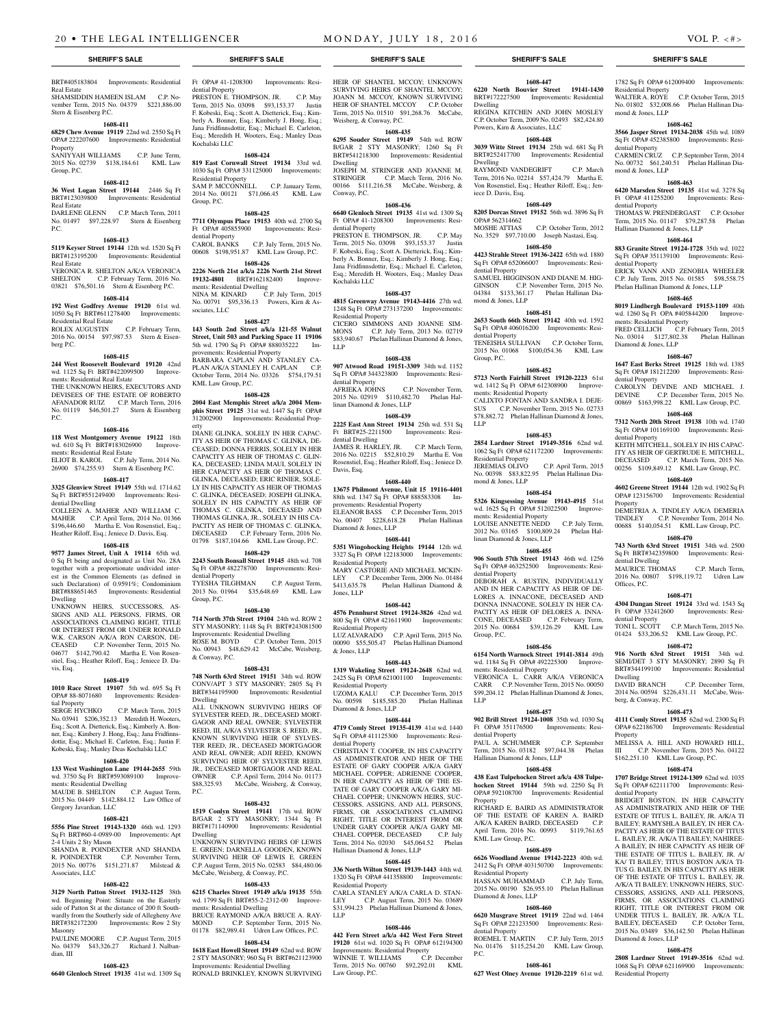BRT#405183804 Improvements: Residential Real Estate SHAMSIDDIN HAMEEN ISLAM C.P. November Term, 2015 No. 04379 \$221,886.00 Stern & Eisenberg P.C.

### **1608-411 6829 Chew Avenue 19119** 22nd wd. 2550 Sq Ft

OPA# 222207600 Improvements: Residential Property SANIYYAH WILLIAMS C.P. June Term, 2015 No. 02739 \$138,184.61 KML Law Group, P.C.

### **1608-412**

**36 West Logan Street 19144** 2446 Sq Ft BRT#123039800 Improvements: Residential Real Estate DARLENE GLENN C.P. March Term, 2011

No. 01497 \$97,228.97 Stern & Eisenberg P.C.

# **1608-413**

**5119 Keyser Street 19144** 12th wd. 1520 Sq Ft BRT#123195200 Improvements: Residential Real Estate

VERONICA R. SHELTON A/K/A VERONICA<br>SHELTON C.P. February Term. 2016 No. C.P. February Term, 2016 No. 03821 \$76,501.16 Stern & Eisenberg P.C.

# **1608-414**

**192 West Godfrey Avenue 19120** 61st wd. 1050 Sq Ft BRT#611278400 Improvements: Residential Real Estate ROLEX AUGUSTIN C.P. February Term,

2016 No. 00154 \$97,987.53 Stern & Eisenberg P.C.

### **1608-415**

**244 West Roosevelt Boulevard 19120** 42nd wd. 1125 Sq Ft BRT#422099500 Improvements: Residential Real Estate

THE UNKNOWN HEIRS, EXECUTORS AND DEVISEES OF THE ESTATE OF ROBERTO AFANADOR RUIZ C.P. March Term, 2016 No. 01119 \$46,501.27 Stern & Eisenberg P.C.

### **1608-416**

**118 West Montgomery Avenue 19122** 18th wd. 610 Sq Ft BRT#183026900 ments: Residential Real Estate ELIOT B. KAROL C.P. July Term, 2014 No.

26900 \$74,255.93 Stern & Eisenberg P.C. **1608-417**

### **3325 Glenview Street 19149** 55th wd. 1714.62 Sq Ft BRT#551249400 Improvements: Residential Dwelling

COLLEEN A. MAHER AND WILLIAM C. MAHER C.P. April Term, 2014 No. 01366 \$196,446.60 Martha E. Von Rosenstiel, Esq.; Heather Riloff, Esq.; Jeniece D. Davis, Esq.

### **1608-418**

**9577 James Street, Unit A 19114** 65th wd. 0 Sq Ft being and designated as Unit No. 28A together with a proportionate undivided interest in the Common Elements (as defined in such Declaration) of 0.9591%; Condominium BRT#888651465 Improvements: Residential Dwelling

### UNKNOWN HEIRS, SUCCESSORS, AS-SIGNS AND ALL PERSONS, FIRMS, OR ASSOCIATIONS CLAIMING RIGHT, TITLE OR INTEREST FROM OR UNDER RONALD W.K. CARSON A/K/A RON CARSON, DE-<br>CEASED C.P. November Term. 2015 No. C.P. November Term, 2015 No. 04677 \$142,790.42 Martha E. Von Rosenstiel, Esq.; Heather Riloff, Esq.; Jeniece D. Davis, Esq.

### **1608-419**

**1010 Race Street 19107** 5th wd. 695 Sq Ft OPA# 88-8071680 Improvements: Residen-

tial Property<br>SERGE HYCHKO C.P. March Term, 2015 No. 03941 \$206,352.13 Meredith H. Wooters, Esq.; Scott A. Dietterick, Esq.; Kimberly A. Bonner, Esq.; Kimbery J. Hong, Esq.; Jana Fridfinnsdottir, Esq.; Michael E. Carleton, Esq.; Justin F. Kobeski, Esq.; Manley Deas Kochalski LLC

### **1608-420**

**133 West Washington Lane 19144-2655** 59th wd. 3750 Sq Ft BRT#593089100 Improvements: Residential Dwelling MAUDE B. SHELTON C.P. August Term,

2015 No. 04449 \$142,884.12 Law Office of Gregory Javardian, LLC

# **1608-421**

**5556 Pine Street 19143-1320** 46th wd. 1293 Sq Ft BRT#60-4-0989-00 Improvements: Apt 2-4 Units 2 Sty Mason SHANDA R. POINDEXTER AND SHANDA

R. POINDEXTER C.P. November Term 2015 No. 00776 \$151,271.87 Milstead & Associates, LLC

# **1608-422**

**3129 North Patton Street 19132-1125** 38th wd. Beginning Point: Situate on the Easterly side of Patton St at the distance of 200 ft Southwardly from the Southerly side of Allegheny Ave BRT#382172200 Improvements: Row 2 Sty Masonry

PAULINE MOORE C.P. August Term, 2015 No. 04379 \$43,326.27 Richard J. Nalban-

**1608-423 6640 Glenloch Street 19135** 41st wd. 1309 Sq

dian, III

**1618 East Howell Street 19149** 62nd wd. ROW 2 STY MASONRY; 960 Sq Ft BRT#621123900 Improvements: Residential Dwelling RONALD BRINKLEY, KNOWN SURVIVING

Ft OPA# 41-1208300 Improvements: Residential Property

PRESTON E. THOMPSON, JR. C.P. May Term, 2015 No. 03098 \$93,153.37 Justin F. Kobeski, Esq.; Scott A. Dietterick, Esq.; Kimberly A. Bonner, Esq.; Kimberly J. Hong, Esq.; Jana Fridfinnsdottir, Esq.; Michael E. Carleton, Esq.; Meredith H. Wooters, Esq.; Manley Deas Kochalski LLC

# **1608-424**

**819 East Cornwall Street 19134** 33rd wd. 1030 Sq Ft OPA# 331125000 Improvements: Residential Property SAM P. MCCONNELL C.P. January Term, 2014 No. 00121 \$71,066.45 KML Law Group, P.C.

# **1608-425**

**7711 Olympus Place 19153** 40th wd. 2700 Sq<br>Ft OPA# 405855900 Improvements: Resi-Ft OPA# 405855900 dential Property CAROL BANKS C.P. July Term, 2015 No. 00608 \$198,951.87 KML Law Group, P.C.

**1608-426 2226 North 21st a/k/a 2226 North 21st Street 19132-4801** BRT#162182400 Improvements: Residential Dwelling NINA M. KINARD C.P. July Term, 2015 No. 00791 \$95,336.13 Powers, Kirn & Associates, LLC

### **1608-427**

**143 South 2nd Street a/k/a 121-55 Walnut Street, Unit 503 and Parking Space 11 19106**  5th wd. 1790 Sq Ft OPA# 888035222 Improvements: Residential Property BARBARA CAPLAN AND STANLEY CA-PLAN A/K/A STANLEY H. CAPLAN C.P. October Term, 2014 No. 03326 \$754,179.51 KML Law Group, P.C.

### **1608-428**

**2004 East Memphis Street a/k/a 2004 Memphis Street 19125** 31st wd. 1447 Sq Ft OPA# 312002900 Improvements: Residential Prop-

erty DIANE GLINKA, SOLELY IN HER CAPAC-ITY AS HEIR OF THOMAS C. GLINKA, DE-CEASED; DONNA FERRIS, SOLELY IN HER CAPACITY AS HEIR OF THOMAS C. GLIN-KA, DECEASED; LINDA MAUI, SOLELY IN HER CAPACITY AS HEIR OF THOMAS C. GLINKA, DECEASED; ERIC RINIER, SOLE-LY IN HIS CAPACITY AS HEIR OF THOMAS C. GLINKA, DECEASED; JOSEPH GLINKA, SOLELY IN HIS CAPACITY AS HEIR OF THOMAS C. GLINKA, DECEASED AND THOMAS GLINKA, JR., SOLELY IN HIS CA-PACITY AS HEIR OF THOMAS C. GLINKA, DECEASED C.P. February Term, 2016 No. 01798 \$187,104.66 KML Law Group, P.C.

### **1608-429 2243 South Bonsall Street 19145** 48th wd. 708

Sq Ft OPA# 482278700 Improvements: Residential Property TYESHA TILGHMAN C.P. August Term,<br>2013 No. 01964 \$35,648.69 KML Law 2013 No. 01964 \$35,648.69

**1608-430**

Group, P.C.

### **714 North 37th Street 19104** 24th wd. ROW 2 STY MASONRY; 1148 Sq Ft BRT#243081500

Improvements: Residential Dwelling ROSE M. BOYD C.P. October Term, 2015 No. 00943 \$48,629.42 McCabe, Weisberg, & Conway, P.C.

### **1608-431**

**748 North 63rd Street 19151** 34th wd. ROW CONV/APT 3 STY MASONRY; 2805 Sq Ft BRT#344195900 Improvements: Residential Dwelling

ALL UNKNOWN SURVIVING HEIRS OF SYLVESTER REED, JR., DECEASED MORT-GAGOR AND REAL OWNER; SYLVESTER REED, III, A/K/A SYLVESTER S. REED, JR., KNOWN SURVIVING HEIR OF SYLVES-TER REED, JR., DECEASED MORTGAGOR AND REAL OWNER; ADJI REED, KNOWN SURVIVING HEIR OF SYLVESTER REED, JR., DECEASED MORTGAGOR AND REAL<br>OWNER C.P. April Term. 2014 No. 01173 C.P. April Term, 2014 No. 01173 \$88,325.93 McCabe, Weisberg, & Conway, P.C.

### **1608-432**

**1519 Conlyn Street 19141** 17th wd. ROW B/GAR 2 STY MASONRY; 1344 Sq Ft BRT#171140900 Improvements: Residential Dwelling UNKNOWN SURVIVING HEIRS OF LEWIS E. GREEN; DARNELLA GOODEN, KNOWN

SURVIVING HEIR OF LEWIS E. GREEN C.P. August Term, 2015 No. 02583 \$84,480.06 McCabe, Weisberg, & Conway, P.C. **1608-433**

**6215 Charles Street 19149 a/k/a 19135** 55th wd. 1799 Sq Ft BRT#55-2-2312-00 Improvements: Residential Dwelling BRUCE RAYMOND A/K/A BRUCE A. RAY-MOND C.P. September Term, 2015 No. 01178 \$82,989.41 Udren Law Offices, P.C.

# **1608-434**

### **SHERIFF'S SALE SHERIFF'S SALE SHERIFF'S SALE SHERIFF'S SALE SHERIFF'S SALE**

HEIR OF SHANTEL MCCOY: UNKNOWN SURVIVING HEIRS OF SHANTEL MCCOY; JOANN M. MCCOY, KNOWN SURVIVING HEIR OF SHANTEL MCCOY C.P. October Term, 2015 No. 01510 \$91,268.76 McCabe, Weisberg, & Conway, P.C.

### **1608-435**

**6295 Souder Street 19149** 54th wd. ROW B/GAR 2 STY MASONRY; 1260 Sq Ft BRT#541218300 Improvements: Residential Dwelling JOSEPH M. STRINGER AND JOANNE M. C.P. March Term, 2016 No.

00166 \$111,216.58 McCabe, Weisberg, & Conway, P.C. **1608-436**

**6640 Glenloch Street 19135** 41st wd. 1309 Sq Ft OPA# 41-1208300 Improvements: Residential Property

PRESTON E. THOMPSON, JR. C.P. May Term, 2015 No. 03098 \$93,153.37 Justin F. Kobeski, Esq.; Scott A. Dietterick, Esq.; Kimberly A. Bonner, Esq.; Kimberly J. Hong, Esq.; Jana Fridfinnsdottir, Esq.; Michael E. Carleton, Esq.; Meredith H. Wooters, Esq.; Manley Deas Kochalski LLC

### **1608-437**

**4815 Greenway Avenue 19143-4416** 27th wd. 1248 Sq Ft OPA# 273137200 Improvements: Residential Property CICERO SIMMONS AND JOANNE SIM-MONS C.P. July Term, 2013 No. 02719

\$83,940.67 Phelan Hallinan Diamond & Jones,

LLP

# **1608-438**

**907 Atwood Road 19151-3309** 34th wd. 1152 Sq Ft OPA# 344323800 Improvements: Residential Property<br>AFRIEKA JOHNS C.P. November Term, 2015 No. 02919 \$110,482.70 Phelan Hallinan Diamond & Jones, LLP

### **1608-439**

**2225 East Ann Street 19134** 25th wd. 531 Sq Ft BRT#25-2211500 Improvements: Residential Dwelling JAMES R. HARLEY, JR. C.P. March Term, 2016 No. 02215 \$52,810.29 Martha E. Von Rosenstiel, Esq.; Heather Riloff, Esq.; Jeniece D. Davis, Esq.

# **1608-440**

**13675 Philmont Avenue, Unit 15 19116-4401**  88th wd. 1347 Sq Ft OPA# 888583308 Improvements: Residential Property ELEANOR BASS C.P. December Term, 2015 No. 00407 \$228,618.28 Phelan Hallinan Diamond & Jones, LLP

# **1608-441**

**5351 Wingohocking Heights 19144** 12th wd. 3327 Sq Ft OPA# 122183000 Improvements: Residential Property MARY CASTORIE AND MICHAEL MCKIN-LEY C.P. December Term, 2006 No. 01484<br>\$413,635.78 Phelan Hallinan Diamond & Phelan Hallinan Diamond & Jones, LLP

# **1608-442**

**4576 Pennhurst Street 19124-3826** 42nd wd. 800 Sq Ft OPA# 421611900 Improvements: Residential Property<br>LUZ ALVARADO C.P. April Term, 2015 No. 00090 \$55,505.47 Phelan Hallinan Diamond & Jones, LLP

### **1608-443**

**1319 Wakeling Street 19124-2648** 62nd wd. 2425 Sq Ft OPA# 621001100 Improvements: Residential Property UZOMA KALU C.P. December Term, 2015 No. 00598 \$185,585.20 Phelan Hallinan

Diamond & Jones, LLP **1608-444**

**4719 Comly Street 19135-4139** 41st wd. 1440 Sq Ft OPA# 411125300 Improvements: Residential Property

CHRISTIAN T. COOPER, IN HIS CAPACITY AS ADMINISTRATOR AND HEIR OF THE ESTATE OF GARY COOPER A/K/A GARY MICHAEL COPPER; ADRIENNE COOPER, IN HER CAPACITY AS HEIR OF THE ES-TATE OF GARY COOPER A/K/A GARY MI-CHAEL COPPER; UNKNOWN HEIRS, SUC-CESSORS, ASSIGNS, AND ALL PERSONS, FIRMS, OR ASSOCIATIONS CLAIMING RIGHT, TITLE OR INTEREST FROM OR UNDER GARY COOPER A/K/A GARY MI-CHAEL COPPER, DECEASED C.P. July Term, 2014 No. 02030 \$45,064.52 Phelan Hallinan Diamond & Jones, LLP

### **1608-445**

**336 North Wilton Street 19139-1443** 44th wd. 1320 Sq Ft OPA# 441358800 Improvements: Residential Property CARLA STANLEY A/K/A CARLA D. STAN-

LEY C.P. August Term, 2015 No. 03689 \$31,994.23 Phelan Hallinan Diamond & Jones, LLP

# **1608-446**

**442 Fern Street a/k/a 442 West Fern Street 19120** 61st wd. 1020 Sq Ft OPA# 612194300 Improvements: Residential Property WINNIE T. WILLIAMS C.P. December Term, 2015 No. 00760 \$92,292.01 KML Law Group, P.C.

1782 Sq Ft OPA# 612009400 Improvements:

WALTER A. ROYE C.P. October Term, 2015 No. 01802 \$32,008.66 Phelan Hallinan Dia-

**1608-462 3566 Jasper Street 19134-2038** 45th wd. 1089 Sq Ft OPA# 452385800 Improvements: Resi-

CARMEN CRUZ C.P. September Term, 2014 No. 00732 \$61,240.51 Phelan Hallinan Dia-

**1608-463 6420 Marsden Street 19135** 41st wd. 3278 Sq Ft OPA# 411255200 Improvements: Resi-

THOMAS W. PRENDERGAST C.P. October Term, 2015 No. 01147 \$79,287.58 Phelan

**1608-464 883 Granite Street 19124-1728** 35th wd. 1022 Sq Ft OPA# 351139100 Improvements: Resi-

ERICK VANN AND ZENOBIA WHEELER C.P. July Term, 2015 No. 01585 \$98,558.75 Phelan Hallinan Diamond & Jones, LLP **1608-465 8019 Lindbergh Boulevard 19153-1109** 40th wd. 1260 Sq Ft OPA #405844200 Improve-

FRED CELLICH C.P. February Term, 2015 No. 03014 \$127,802.38 Phelan Hallinan

**1608-467 1647 East Berks Street 19125** 18th wd. 1385 Sq Ft OPA# 181212200 Improvements: Resi-

CAROLYN DEVINE AND MICHAEL J. DEVINE C.P. December Term, 2015 No. 00869 \$163,998.22 KML Law Group, P.C. **1608-468 7312 North 20th Street 19138** 10th wd. 1740 Sq Ft OPA# 101169100 Improvements: Resi-

KEITH MITCHELL, SOLELY IN HIS CAPAC-ITY AS HEIR OF GERTRUDE E. MITCHELL, DECEASED C.P. March Term, 2015 No. 00256 \$109,849.12 KML Law Group, P.C. **1608-469 4602 Greene Street 19144** 12th wd. 1902 Sq Ft OPA# 123156700 Improvements: Residential

DEMETRIA A. TINDLEY A/K/A DEMERIA TINDLEY C.P. November Term, 2014 No. 00688 \$140,054.51 KML Law Group, P.C. **1608-470 743 North 63rd Street 19151** 34th wd. 2500 Sq Ft BRT#342359800 Improvements: Resi-

MAURICE THOMAS C.P. March Term, 2016 No. 00807 \$198,119.72 Udren Law

**1608-471 4304 Dungan Street 19124** 33rd wd. 1543 Sq Ft OPA# 332412600 Improvements: Resi-

TONI L. SCOTT C.P. March Term, 2015 No. 01424 \$33,206.52 KML Law Group, P.C. **1608-472 916 North 63rd Street 19151** 34th wd. SEMI/DET 3 STY MASONRY; 2890 Sq Ft BRT#344199100 Improvements: Residential

2014 No. 00594 \$226,431.11 McCabe, Weis-

**1608-473 4111 Comly Street 19135** 62nd wd. 2300 Sq Ft OPA# 622186700 Improvements: Residential

MELISSA A. HILL AND HOWARD HILL,<br>III C.P. November Term. 2015 No. 04122 C.P. November Term, 2015 No. 04122

BRIDGET BOSTON, IN HER CAPACITY AS ADMINISTRATRIX AND HEIR OF THE ESTATE OF TITUS L. BAILEY, JR. A/K/A TI BAILEY: RAMYSHLA BAILEY, IN HER CA-PACITY AS HEIR OF THE ESTATE OF TITUS L. BAILEY, JR. A/K/A TI BAILEY; NAHIREE-A BAILEY, IN HER CAPACITY AS HEIR OF THE ESTATE OF TITUS L. BAILEY, IR. A/ KA/ TI BAILEY; TITUS BOSTON A/K/A TI-TUS G. BAILEY, IN HIS CAPACITY AS HEIR OF THE ESTATE OF TITUS L. BAILEY, JR. A/K/A TI BAILEY; UNKNOWN HEIRS, SUC-CESSORS, ASSIGNS, AND ALL PERSONS, FIRMS, OR ASSOCIATIONS CLAIMING RIGHT, TITLE OR INTEREST FROM OR UNDER TITUS L. BAILEY, JR. A/K/A T.L. BAILEY, DECEASED C.P. October Term, 2015 No. 03489 \$36,142.50 Phelan Hallinan

**1608-475 2808 Lardner Street 19149-3516** 62nd wd. 1068 Sq Ft OPA# 621169900 Improvements:

\$162,251.10 KML Law Group, P.C. **1608-474 1707 Bridge Street 19124-1309** 62nd wd. 1035 Sq Ft OPA# 622111700 Improvements: Resi-

C.P. December Term,

Hallinan Diamond & Jones, LLP

ments: Residential Property

Diamond & Jones, LLP

dential Property

dential Property

Property

dential Dwelling

dential Property

Dwelling<br>DAVID BRANCH

berg, & Conway, P.C.

**Property** 

ential Property

Diamond & Jones, LLP

Residential Property

Offices, P.C.

Residential Property

mond & Jones, LLP

dential Property

dential Property

dential Property

mond & Jones, LLP

**1608-447 6220 North Bouvier Street 19141-1430** 

BRT#172227500 Improvements: Residential Dwelling REGINA KITCHEN AND JOHN MOSLEY C.P. October Term, 2009 No. 02493 \$82,424.80 Powers, Kirn & Associates, LLC

**1608-448 3039 Witte Street 19134** 25th wd. 681 Sq Ft BRT#252417700 Improvements: Residential

RAYMOND VANDEGRIFT C.P. March Term, 2016 No. 02214 \$57,424.79 Martha E. Von Rosenstiel, Esq.; Heather Riloff, Esq.; Jen-

**1608-449 8205 Dorcas Street 19152** 56th wd. 3896 Sq Ft

MOSHE ATTIAS C.P. October Term, 2012 No. 3529 \$97,710.00 Joseph Nastasi, Esq. **1608-450 4423 Strahle Street 19136-2422** 65th wd. 1880 Sq Ft OPA# 652066007 Improvements: Resi-

SAMUEL HIGGINSON AND DIANE M. HIG-GINSON C.P. November Term, 2015 No. 04384 \$133,361.17 Phelan Hallinan Dia-

**1608-451 2653 South 66th Street 19142** 40th wd. 1592 Sq Ft OPA# 406016200 Improvements: Resi-

TENEISHA SULLIVAN C.P. October Term, 2015 No. 01068 \$100,054.36 KML Law

**1608-452 5723 North Fairhill Street 19120-2223** 61st wd. 1412 Sq Ft OPA# 612308900 Improve-

CALIXTO FONTAN AND SANDRA I. DEJE-SUS C.P. November Term, 2015 No. 02733 \$78,882.72 Phelan Hallinan Diamond & Jones,

**1608-453 2854 Lardner Street 19149-3516** 62nd wd. 1062 Sq Ft OPA# 621172200 Improvements:

JEREMIAS OLIVO C.P. April Term, 2015 No. 00398 \$83,822.95 Phelan Hallinan Dia-

**1608-454 5326 Kingsessing Avenue 19143-4915** 51st wd. 1625 Sq Ft OPA# 512022500 Improve-

LOUISE ANNETTE NEDD C.P. July Term, 2012 No. 03165 \$100,809.24 Phelan Hal-

**1608-455 906 South 57th Street 19143** 46th wd. 1256 Sq Ft OPA# 463252500 Improvements: Resi-

DEBORAH A. RUSTIN, INDIVIDUALLY AND IN HER CAPACITY AS HEIR OF DE-LORES A. INNACONE, DECEASED AND DONNA INNACONE, SOLELY IN HER CA-PACITY AS HEIR OF DELORES A. INNA-CONE, DECEASED C.P. February Term, 2015 No. 00684 \$39,126.29 KML Law

**1608-456 6154 North Warnock Street 19141-3814** 49th wd. 1184 Sq Ft OPA# 492225300 Improve-

VERONICA L. CARR A/K/A VERONICA CARR C.P. November Term, 2015 No. 00050 \$99,204.12 Phelan Hallinan Diamond & Jones,

**1608-457 902 Brill Street 19124-1008** 35th wd. 1030 Sq Ft OPA# 351176500 Improvements: Resi-

PAUL A. SCHUMMER C.P. September Term, 2015 No. 03182 \$97,044.38 Phelan

**1608-458 438 East Tulpehocken Street a/k/a 438 Tulpehocken Street 19144** 59th wd. 2250 Sq Ft OPA# 592108700 Improvements: Residential

RICHARD E. BAIRD AS ADMINISTRATOR OF THE ESTATE OF KAREN A. BAIRD A/K/A KAREN BAIRD, DECEASED C.P. April Term, 2016 No. 00993 \$119,761.65

**1608-459 6626 Woodland Avenue 19142-2223** 40th wd. 2412 Sq Ft OPA# 403150700 Improvements:

HASSAN MUHAMMAD C.P. July Term, 2015 No. 00190 \$26,955.10 Phelan Hallinan

**1608-460 6620 Musgrave Street 19119** 22nd wd. 1464 Sq Ft OPA# 221233500 Improvements: Resi-

ROEMEL T. MARTIN C.P. July Term, 2015 No. 01476 \$115,254.20 KML Law Group,

**1608-461 627 West Olney Avenue 19120-2219** 61st wd.

Dwelling

iece D. Davis, Esq.

OPA# 562314662

dential Property

mond & Jones, LLP

dential Property

ments: Residential Property

Residential Property

mond & Jones, LLP

ments: Residential Property

linan Diamond & Jones, LLP

dential Property

Group, P.C.

LLP

Property

ments: Residential Property

dential Property<br>PAUL A. SCHUMMER

KML Law Group, P.C.

Residential Property

Diamond & Jones, LLP

dential Property

P.C.

Hallinan Diamond & Jones, LLP

Group, P.C.

LLP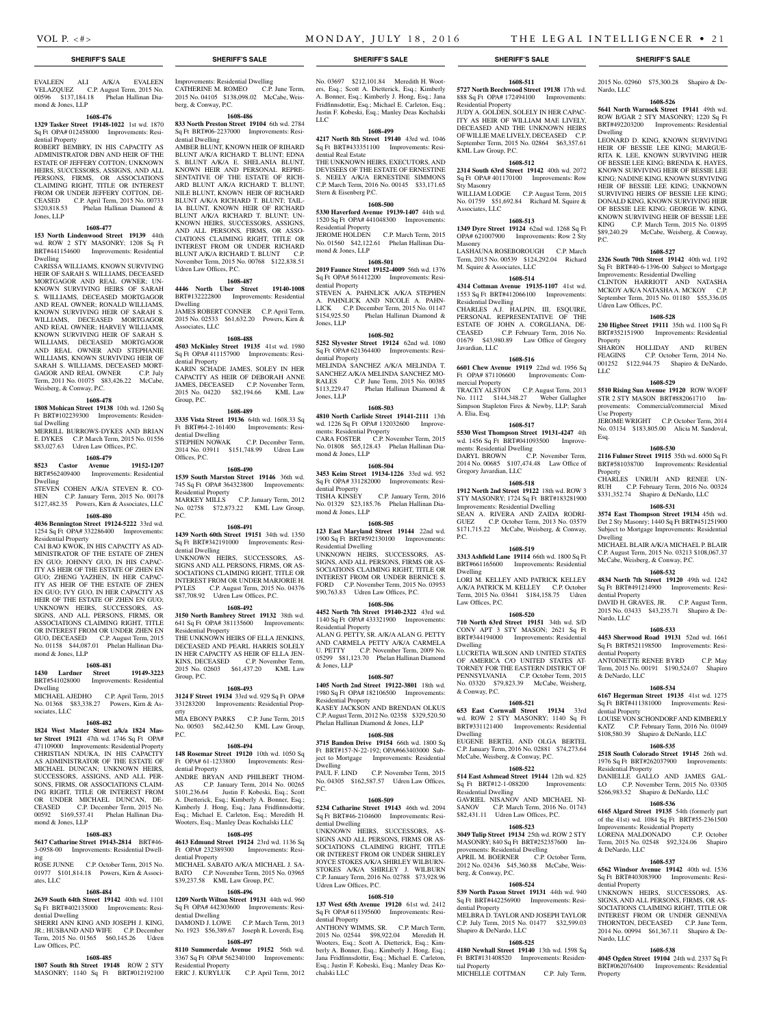Nardo, LLC

Dwelling

P.C.

Property

LLC

Esq.

Property

Dwelling

dential Property

Nardo, LLC

dential Property

& DeNardo, LLC

dential Property

Residential Property

LORENA MALDONADO

& DeNardo, LLC

dential Property

Nardo, LLC

Property

Use Property

Udren Law Offices, P.C.

2015 No. 02960 \$75,300.28 Shapiro & De-

**1608-526 5641 North Warnock Street 19141** 49th wd. ROW B/GAR 2 STY MASONRY; 1220 Sq Ft BRT#492203200 Improvements: Residential

LEONARD D. KING, KNOWN SURVIVING HEIR OF BESSIE LEE KING; MARGUE-RITA K. LEE, KNOWN SURVIVING HEIR OF BESSIE LEE KING; BRENDA K. HAYES, KNOWN SURVIVING HEIR OF BESSIE LEE KING; NADINE KING, KNOWN SURVIVING HEIR OF BESSIE LEE KING; UNKNOWN SURVIVING HEIRS OF BESSIE LEE KING; DONALD KING, KNOWN SURVIVING HEIR OF BESSIE LEE KING; GEORGE W. KING, KNOWN SURVIVING HEIR OF BESSIE LEE KING C.P. March Term, 2015 No. 01895 \$89,240.29 McCabe, Weisberg, & Conway,

**1608-527 2326 South 70th Street 19142** 40th wd. 1192 Sq Ft BRT#40-6-1396-00 Subject to Mortgage Improvements: Residential Dwelling CLINTON HARRIOTT AND NATASHA MCKOY A/K/A NATASHA A. MCKOY C.P. September Term, 2015 No. 01180 \$55,336.05

**1608-528 230 Higbee Street 19111** 35th wd. 1100 Sq Ft BRT#352151900 Improvements: Residential

SHARON HOLLIDAY AND RUBEN<br>FEAGINS C.P. October Term, 2014 No.

001252 \$122,944.75 Shapiro & DeNardo,

**1608-529 5510 Rising Sun Avenue 19120** ROW W/OFF STR 2 STY MASON BRT#882061710 Improvements: Commercial/commercial Mixed

JEROME WRIGHT C.P. October Term, 2014 No. 03134 \$183,805.00 Alicia M. Sandoval,

**1608-530 2116 Fulmer Street 19115** 35th wd. 6000 Sq Ft BRT#581038700 Improvements: Residential

CHARLES UNRUH AND RENEE UN-RUH C.P. February Term, 2016 No. 00324 \$331,352.74 Shapiro & DeNardo, LLC **1608-531 3574 East Thompson Street 19134** 45th wd. Det 2 Sty Masonry; 1440 Sq Ft BRT#451251900 Subject to Mortgage Improvements: Residential

MICHAEL BLAIR A/K/A MICHAEL P. BLAIR C.P. August Term, 2015 No. 03213 \$108,067.37 McCabe, Weisberg, & Conway, P.C. **1608-532 4834 North 7th Street 19120** 49th wd. 1242 Sq Ft BRT#491214900 Improvements: Resi-

DAVID H. GRAVES, JR. C.P. August Term, 2015 No. 03433 \$43,235.71 Shapiro & De-

**1608-533 4453 Sherwood Road 19131** 52nd wd. 1661 Sq Ft BRT#521198500 Improvements: Resi-

ANTOINETTE RENEE BYRD C.P. May Term, 2015 No. 00191 \$190,524.07 Shapiro

**1608-534 6167 Hegerman Street 19135** 41st wd. 1275 Sq Ft BRT#411381000 Improvements: Resi-

LOUISE VON SCHONDORF AND KIMBERLY KATZ C.P. February Term, 2016 No. 01049 \$108,580.39 Shapiro & DeNardo, LLC **1608-535 2518 South Colorado Street 19145** 26th wd. 1976 Sq Ft BRT#262037900 Improvements:

DANIELLE GALLO AND JAMES GAL-LO C.P. November Term, 2015 No. 03305 \$266,983.52 Shapiro & DeNardo, LLC **1608-536 6165 Algard Street 19135** 54th (formerly part of the 41st) wd. 1084 Sq Ft BRT#55-2361500 Improvements: Residential Property<br>
LORENA MALDONADO C.P. October

Term, 2015 No. 02548 \$92,324.06 Shapiro

**1608-537 6562 Windsor Avenue 19142** 40th wd. 1536 Sq Ft BRT#403083900 Improvements: Resi-

UNKNOWN HEIRS, SUCCESSORS, AS-SIGNS, AND ALL PERSONS, FIRMS, OR AS-SOCIATIONS CLAIMING RIGHT, TITLE OR INTEREST FROM OR UNDER GENNEVA THORNTON, DECEASED C.P. June Term, 2014 No. 00994 \$61,367.11 Shapiro & De-

**1608-538 4045 Ogden Street 19104** 24th wd. 2337 Sq Ft BRT#062076400 Improvements: Residential

C.P. October Term, 2014 No.

## **SHERIFF'S SALE SHERIFF'S SALE SHERIFF'S SALE SHERIFF'S SALE SHERIFF'S SALE**

EVALEEN ALI A/K/A EVALEEN VELAZQUEZ C.P. August Term, 2015 No. 00596 \$137,184.18 Phelan Hallinan Diamond & Jones, LLP

# **1608-476**

**1329 Tasker Street 19148-1022** 1st wd. 1870 Sq Ft OPA# 012458000 Improvements: Residential Property

ROBERT BEMBRY, IN HIS CAPACITY AS ADMINISTRATOR DBN AND HEIR OF THE ESTATE OF JEFFERY COTTON; UNKNOWN HEIRS, SUCCESSORS, ASSIGNS, AND ALL PERSONS, FIRMS, OR ASSOCIATIONS CLAIMING RIGHT, TITLE OR INTEREST FROM OR UNDER JEFFERY COTTON, DE-CEASED C.P. April Term, 2015 No. 00733 \$320,818.53 Phelan Hallinan Diamond & Jones, LLP

### **1608-477**

**153 North Lindenwood Street 19139** 44th wd. ROW 2 STY MASONRY; 1208 Sq Ft BRT#441154600 Improvements: Residential Dwelling

CARISSA WILLIAMS, KNOWN SURVIVING HEIR OF SARAH S. WILLIAMS, DECEASED MORTGAGOR AND REAL OWNER; UN-KNOWN SURVIVING HEIRS OF SARAH S. WILLIAMS, DECEASED MORTGAGOR AND REAL OWNER; RONALD WILLIAMS, KNOWN SURVIVING HEIR OF SARAH S. WILLIAMS, DECEASED MORTGAGOR AND REAL OWNER; HARVEY WILLIAMS, KNOWN SURVIVING HEIR OF SARAH S. WILLIAMS, DECEASED MORTGAGOR AND REAL OWNER AND STEPHANIE WILLIAMS, KNOWN SURVIVING HEIR OF SARAH S. WILLIAMS, DECEASED MORT-GAGOR AND REAL OWNER C.P. July Term, 2011 No. 01075 \$83,426.22 McCabe, Weisberg, & Conway, P.C.

### **1608-478**

**1808 Mohican Street 19138** 10th wd. 1260 Sq Ft BRT#102239300 Improvements: Residential Dwelling MERRILL BURROWS-DYKES AND BRIAN

E. DYKES C.P. March Term, 2015 No. 01556 \$83,027.63 Udren Law Offices, P.C.

# **1608-479**

**8523 Castor Avenue 19152-1207**  Improvements: Residential Dwelling

STEVEN COHEN A/K/A STEVEN R. CO-<br>HEN C.P. January Term, 2015 No. 00178 C.P. January Term, 2015 No. 00178 \$127,482.35 Powers, Kirn & Associates, LLC

# **1608-480**

**4036 Bennington Street 19124-5222** 33rd wd. 1254 Sq Ft OPA# 332286400 Improvements: Residential Property

CAI BAO KWOK, IN HIS CAPACITY AS AD-MINISTRATOR OF THE ESTATE OF ZHEN EN GUO; JOHNNY GUO, IN HIS CAPAC-ITY AS HEIR OF THE ESTATE OF ZHEN EN GUO; ZHENG YAZHEN, IN HER CAPAC-ITY AS HEIR OF THE ESTATE OF ZHEN EN GUO; IVY GUO, IN HER CAPACITY AS HEIR OF THE ESTATE OF ZHEN EN GUO; UNKNOWN HEIRS, SUCCESSORS, AS-SIGNS, AND ALL PERSONS, FIRMS, OR ASSOCIATIONS CLAIMING RIGHT, TITLE OR INTEREST FROM OR UNDER ZHEN EN GUO, DECEASED C.P. August Term, 2015 No. 01158 \$44,087.01 Phelan Hallinan Diamond & Jones, LLP

### **1608-481**

**1430 Lardner Street 19149-3223**  BRT#541028000 Improvements: Residential

Dwelling MICHAEL AJEDHO C.P. April Term, 2015 No. 01368 \$83,338.27 Powers, Kirn & Associates, LLC

# **1608-482**

**1824 West Master Street a/k/a 1824 Master Street 19121** 47th wd. 1746 Sq Ft OPA# 471109000 Improvements: Residential Property CHRISTIAN NDUKA, IN HIS CAPACITY AS ADMINISTRATOR OF THE ESTATE OF MICHAEL DUNCAN; UNKNOWN HEIRS, SUCCESSORS, ASSIGNS, AND ALL PER-SONS, FIRMS, OR ASSOCIATIONS CLAIM-ING RIGHT, TITLE OR INTEREST FROM OR UNDER MICHAEL DUNCAN, DECEASED C.P. December Term, 2015 No. C.P. December Term, 2015 No. 00592 \$169,537.41 Phelan Hallinan Diamond & Jones, LLP

### **1608-483 5617 Catharine Street 19143-2814** BRT#46-

3-0958-00 Improvements: Residential Dwelling ROSE JUNNE C.P. October Term, 2015 No.

01977 \$101,814.18 Powers, Kirn & Associates, LLC

# **1608-484**

**2639 South 64th Street 19142** 40th wd. 1101 Sq Ft BRT#402135000 Improvements: Residential Dwelling

SHERRI ANN KING AND JOSEPH J. KING, JR.; HUSBAND AND WIFE C.P. December Term, 2015 No. 01565 \$60,145.26 Udren Law Offices, P.C.

### **1608-485**

**1807 South 8th Street 19148** ROW 2 STY MASONRY; 1140 Sq Ft BRT#012192100

Improvements: Residential Dwelling CATHERINE M. ROMEO C.P. June Term, 2015 No. 04105 \$138,098.02 McCabe, Weisberg, & Conway, P.C.

### **1608-486**

**833 North Preston Street 19104** 6th wd. 2784 Sq Ft BRT#06-2237000 Improvements: Residential Dwelling

AMBER BLUNT, KNOWN HEIR OF RIHARD BLUNT A/K/A RICHARD T. BLUNT; EDNA S. BLUNT A/K/A E. SHELANIA BLUNT, KNOWN HEIR AND PERSONAL REPRE-SENTATIVE OF THE ESTATE OF RICH-ARD BLUNT A/K/A RICHARD T. BLUNT; NILE BLUNT, KNOWN HEIR OF RICHARD BLUNT A/K/A RICHARD T. BLUNT; TAIL-IA BLUNT, KNOWN HEIR OF RICHARD BLUNT A/K/A RICHARD T. BLUNT: UN-KNOWN HEIRS, SUCCESSORS, ASSIGNS, AND ALL PERSONS, FIRMS, OR ASSO-CIATIONS CLAIMING RIGHT, TITLE OR INTEREST FROM OR UNDER RICHARD BLUNT A/K/A RICHARD T. BLUNT November Term, 2015 No. 00768 \$122,838.51 Udren Law Offices, P.C.

### **1608-487**

**4446 North Uber Street 19140-1008**  BRT#132222800 Improvements: Residential Dwelling

JAMES ROBERT CONNER C.P. April Term, 2015 No. 02533 \$61,632.20 Powers, Kirn & Associates, LLC

# **1608-488**

**4503 McKinley Street 19135** 41st wd. 1980 Sq Ft OPA# 411157900 Improvements: Residential Property KARIN SCHADE JAMES, SOLEY IN HER CAPACITY AS HEIR OF DEBORAH ANNE JAMES, DECEASED C.P. November Term, 2015 No. 04220 \$82,194.66 KML Law Group, P.C.

### **1608-489**

**3335 Vista Street 19136** 64th wd. 1608.33 Sq Ft BRT#64-2-161400 Improvements: Residential Dwelling<br>STEPHEN NOWAK C.P. December Term, 2014 No. 03911 \$151,748.99 Udren Law

Offices, P.C. **1608-490**

**1539 South Marston Street 19146** 36th wd. 745 Sq Ft OPA# 364323800 Improvements: Residential Property MARKEY MILLS C.P. January Term, 2012

No. 02758 \$72,873.22 KML Law Group,  $PC$ .

**1608-491 1439 North 60th Street 19151** 34th wd. 1350 Sq Ft BRT#342191000 Improvements: Residential Dwelling

UNKNOWN HEIRS, SUCCESSORS, AS-SIGNS AND ALL PERSONS, FIRMS, OR AS-SOCIATIONS CLAIMING RIGHT, TITLE OR INTEREST FROM OR UNDER MARJORIE H. PYLES C.P. August Term, 2015 No. 04376 \$87,708.92 Udren Law Offices, P.C.

## **1608-492**

**3150 North Bambrey Street 19132** 38th wd. 641 Sq Ft OPA# 381135600 Improvements: Residential Property

THE UNKNOWN HEIRS OF ELLA JENKINS DECEASED AND PEARL HARRIS SOLELY IN HER CAPACITY AS HEIR OF ELLA JEN-KINS, DECEASED C.P. November Term, 2015 No. 02603 \$61,437.20 KML Law Group, P.C.

### **1608-493**

**3124 F Street 19134** 33rd wd. 929 Sq Ft OPA# 331283200 Improvements: Residential Property MIA EBONY PARKS C.P. June Term, 2015

No. 00503 \$62,442.50 KML Law Group, P.C.

### **1608-494**

**148 Rosemar Street 19120** 10th wd. 1050 Sq Ft OPA# 61-1233800 Improvements: Residential Property

ANDRE BRYAN AND PHILBERT THOM-C.P. January Term, 2014 No. 00265 \$101,236.64 Justin F. Kobeski, Esq.; Scott A. Dietterick, Esq.; Kimberly A. Bonner, Esq.; Kimberly J. Hong, Esq.; Jana Fridfinnsdottir, Esq.; Michael E. Carleton, Esq.; Meredith H. Wooters, Esq.; Manley Deas Kochalski LLC

### **1608-495**

**4613 Edmund Street 19124** 23rd wd. 1136 Sq Ft OPA# 232389300 Improvements: Residential Property MICHAEL SABATO A/K/A MICHAEL J. SA-BATO C.P. November Term, 2015 No. 03965

\$39,237.58 KML Law Group, P.C. **1608-496**

# **1209 North Wilton Street 19131** 44th wd. 960

Sq Ft OPA# 442303600 Improvements: Residential Dwelling DAMOND J. LOWE C.P. March Term, 2013 No. 1923 \$56,389.67 Joseph R. Loverdi, Esq.

### **1608-497**

**8110 Summerdale Avenue 19152** 56th wd. 3367 Sq Ft OPA# 562340100 Improvements: Residential Property<br>ERIC J. KURYLUK C.P. April Term, 2012

No. 03697 \$212,101.84 Meredith H. Wooters, Esq.; Scott A. Dietterick, Esq.; Kimberly A. Bonner, Esq.; Kimberly J. Hong, Esq.; Jana Fridfinnsdottir, Esq.; Michael E. Carleton, Esq.; Justin F. Kobeski, Esq.; Manley Deas Kochalski LLC

### **1608-499**

**4217 North 8th Street 19140** 43rd wd. 1046 Sq Ft BRT#433351100 Improvements: Residential Real Estate THE UNKNOWN HEIRS, EXECUTORS, AND

DEVISEES OF THE ESTATE OF ERNESTINE S. NEELY A/K/A ERNESTINE SIMMONS C.P. March Term, 2016 No. 00145 \$33,171.65 Stern & Eisenberg P.C.

### **1608-500**

**5330 Haverford Avenue 19139-1407** 44th wd. 1520 Sq Ft OPA# 441048300 Improvements: Residential Property<br>JEROME HOLDEN C.P. March Term, 2015 No. 01560 \$42,122.61 Phelan Hallinan Diamond & Jones, LLP

# **1608-501**

**2019 Faunce Street 19152-4009** 56th wd. 1376 Sq Ft OPA# 561412200 Improvements: Residential Property

STEVEN A. PAHNLICK A/K/A STEPHEN A. PAHNLICK AND NICOLE A. PAHN-<br>LICK C.P. December Term, 2015 No. 01147 C.P. December Term, 2015 No. 01147 \$154,925.50 Phelan Hallinan Diamond & Jones, LLP

**1608-502 5252 Slyvester Street 19124** 62nd wd. 1080 Sq Ft OPA# 621364400 Improvements: Residential Property

MELINDA SANCHEZ A/K/A MELINDA T. SANCHEZ A/K/A MELINDA SANCHEZ MO-RALES C.P. June Term, 2015 No. 00385 \$113,229.47 Phelan Hallinan Diamond & Jones, LLP

### **1608-503**

**4810 North Carlisle Street 19141-2111** 13th wd. 1226 Sq Ft OPA# 132032600 Improvements: Residential Property CARA FOSTER C.P. November Term, 2015 No. 01808 \$65,128.43 Phelan Hallinan Diamond & Jones, LLP

### **1608-504**

**3453 Keim Street 19134-1226** 33rd wd. 952 Sq Ft OPA# 331282000 Improvements: Residential Property<br>TISHA KINSEY C.P. January Term, 2016 No. 01329 \$23,185.76 Phelan Hallinan Dia-

# mond  $&$  Iones, LLP

**1608-505 123 East Maryland Street 19144** 22nd wd. 1900 Sq Ft BRT#592130100 Improvements: Residential Dwelling UNKNOWN HEIRS, SUCCESSORS, AS-

SIGNS, AND ALL PERSONS, FIRMS OR AS-SOCIATIONS CLAIMING RIGHT, TITLE OR INTEREST FROM OR UNDER BERNICE S. FORD C.P. November Term, 2015 No. 03953 \$90,763.83 Udren Law Offices, P.C.

### **1608-506**

**4452 North 7th Street 19140-2322** 43rd wd. 1140 Sq Ft OPA# 433321900 Improvements: Residential Property

ALAN G. PETTY, SR. A/K/A ALAN G. PETTY AND CARMELA PETTY A/K/A CARMELA U. PETTY C.P. November Term, 2009 No. 05299 \$81,123.70 Phelan Hallinan Diamond & Jones, LLP

### **1608-507**

**1405 North 2nd Street 19122-3801** 18th wd. 1980 Sq Ft OPA# 182106500 Improvements: Residential Property

KASEY JACKSON AND BRENDAN OLKUS C.P. August Term, 2012 No. 02358 \$329,520.50 Phelan Hallinan Diamond & Jones, LLP

### **1608-508**

**3715 Bandon Drive 19154** 66th wd. 1800 Sq Ft BRT#157-N-22-192; OPA#663403000 Subject to Mortgage Improvements: Residential Dwelling<br>PAUL F. LIND C.P. November Term, 2015

No. 04305 \$162,587.57 Udren Law Offices, P.C.

### **1608-509**

**5234 Catharine Street 19143** 46th wd. 2094 Sq Ft BRT#46-2104600 Improvements: Residential Dwelling

UNKNOWN HEIRS, SUCCESSORS, AS-SIGNS AND ALL PERSONS, FIRMS OR AS-SOCIATIONS CLAIMING RIGHT, TITLE OR INTEREST FROM OR UNDER SHIRLEY JOYCE STOKES A/K/A SHIRLEY WILBURN-STOKES A/K/A SHIRLEY J. WILBURN C.P. January Term, 2016 No. 02788 \$73,928.96 Udren Law Offices, P.C.

# **1608-510**

**137 West 65th Avenue 19120** 61st wd. 2412 Sq Ft OPA# 611395600 Improvements: Residential Property

ANTHONY WIMMS, SR. C.P. March Term, 2015 No. 02544 \$98,922.04 Meredith H. Wooters, Esq.; Scott A. Dietterick, Esq.; Kimberly A. Bonner, Esq.; Kimberly J. Hong, Esq.; Jana Fridfinnsdottir, Esq.; Michael E. Carleton, Esq.; Justin F. Kobeski, Esq.; Manley Deas Kochalski LLC

### **1608-511 5727 North Beechwood Street 19138** 17th wd.

888 Sq Ft OPA# 172494100 Improvements: Residential Property JUDY A. GOLDEN, SOLELY IN HER CAPAC-ITY AS HEIR OF WILLIAM MAE LIVELY, DECEASED AND THE UNKNOWN HEIRS OF WILLIE MAE LIVELY, DECEASED C.P. September Term, 2015 No. 02864 \$63,357.61 KML Law Group, P.C.

**1608-512 2314 South 63rd Street 19142** 40th wd. 2072 Sq Ft OPA# 401170100 Improvements: Row

WILLIAM LODGE C.P. August Term, 2015 No. 01759 \$51,692.84 Richard M. Squire &

**1608-513 1349 Dyre Street 19124** 62nd wd. 1268 Sq Ft OPA# 621007900 Improvements: Row 2 Sty

LASHAUNA ROSEBOROUGH C.P. March Term, 2015 No. 00539 \$124,292.04 Richard

**1608-514 4314 Cottman Avenue 19135-1107** 41st wd. 1553 Sq Ft BRT#412066100 Improvements:

CHARLES A.J. HALPIN, III, ESQUIRE, PERSONAL REPRESENTATIVE OF THE ESTATE OF JOHN A. CORGLIANA, DE-CEASED C.P. February Term, 2016 No. 01679 \$43,980.89 Law Office of Gregory

**1608-516 6601 Chew Avenue 19119** 22nd wd. 1956 Sq Ft OPA# 871106600 Improvements: Com-

TRACEY ALSTON C.P. August Term, 2013 No. 1112 \$144,348.27 Weber Gallagher Simpson Stapleton Fires & Newby, LLP; Sarah

**1608-517 5530 West Thompson Street 19131-4247** 4th wd. 1456 Sq Ft BRT#041093500 Improve-

DARYL BROWN C.P. November Term, 2014 No. 00685 \$107,474.48 Law Office of

**1608-518 1912 North 2nd Street 19122** 18th wd. ROW 3 STY MASONRY; 1724 Sq Ft BRT#183281900 Improvements: Residential Dwelling SEAN A. RIVERA AND ZAIDA RODRI-GUEZ C.P. October Term, 2013 No. 03579 \$171,715.22 McCabe, Weisberg, & Conway,

**1608-519 3313 Ashfield Lane 19114** 66th wd. 1800 Sq Ft BRT#661165600 Improvements: Residential

LORI M. KELLEY AND PATRICK KELLEY A/K/A PATRICK M. KELLEY C.P. October Term, 2015 No. 03641 \$184,158.75 Udren

**1608-520 710 North 63rd Street 19151** 34th wd. S/D CONV APT 3 STY MASON; 2621 Sq Ft BRT#344194000 Improvements: Residential

LUCRETIA WILSON AND UNITED STATES OF AMERICA C/O UNITED STATES AT-TORNEY FOR THE EASTERN DISTRICT OF PENNSYLVANIA C.P. October Term, 2015 No. 03320 \$79,823.39 McCabe, Weisberg,

**1608-521 653 East Cornwall Street 19134** 33rd wd. ROW 2 STY MASONRY; 1140 Sq Ft BRT#331121400 Improvements: Residential

EUGENE BERTEL AND OLGA BERTEL C.P. January Term, 2016 No. 02881 \$74,273.64 McCabe, Weisberg, & Conway, P.C. **1608-522 514 East Ashmead Street 19144** 12th wd. 825 Sq Ft BRT#12-1-088200 Improvements:

GAVRIEL NISANOV AND MICHAEL NI-SANOV C.P. March Term, 2016 No. 01743 \$82,431.11 Udren Law Offices, P.C. **1608-523 3049 Tulip Street 19134** 25th wd. ROW 2 STY MASONRY; 840 Sq Ft BRT#252357600 Im-

APRIL M. BOERNER C.P. October Term, 2012 No. 02436 \$45,360.88 McCabe, Weis-

**1608-524 539 North Paxon Street 19131** 44th wd. 940 Sq Ft BRT#442256900 Improvements: Resi-

MELBRA D. TAYLOR AND JOSEPH TAYLOR C.P. July Term, 2015 No. 01477 \$32,599.03

**1608-525 4180 Newhall Street 19140** 13th wd. 1598 Sq Ft BRT#131408520 Improvements: Residen-

MICHELLE COTTMAN C.P. July Term,

M. Squire & Associates, LLC

Residential Dwelling

Javardian, LLC

mercial Property

ments: Residential Dwelling

Gregory Javardian, LLC

A. Elia, Esq.

P.C.

Dwelling

Dwelling

& Conway, P.C.

Residential Dwelling

berg, & Conway, P.C.

dential Property

tial Property

Shapiro & DeNardo, LLC

provements: Residential Dwelling

Dwelling

Law Offices, P.C.

Sty Masonry

Masonry

Associates, LLC